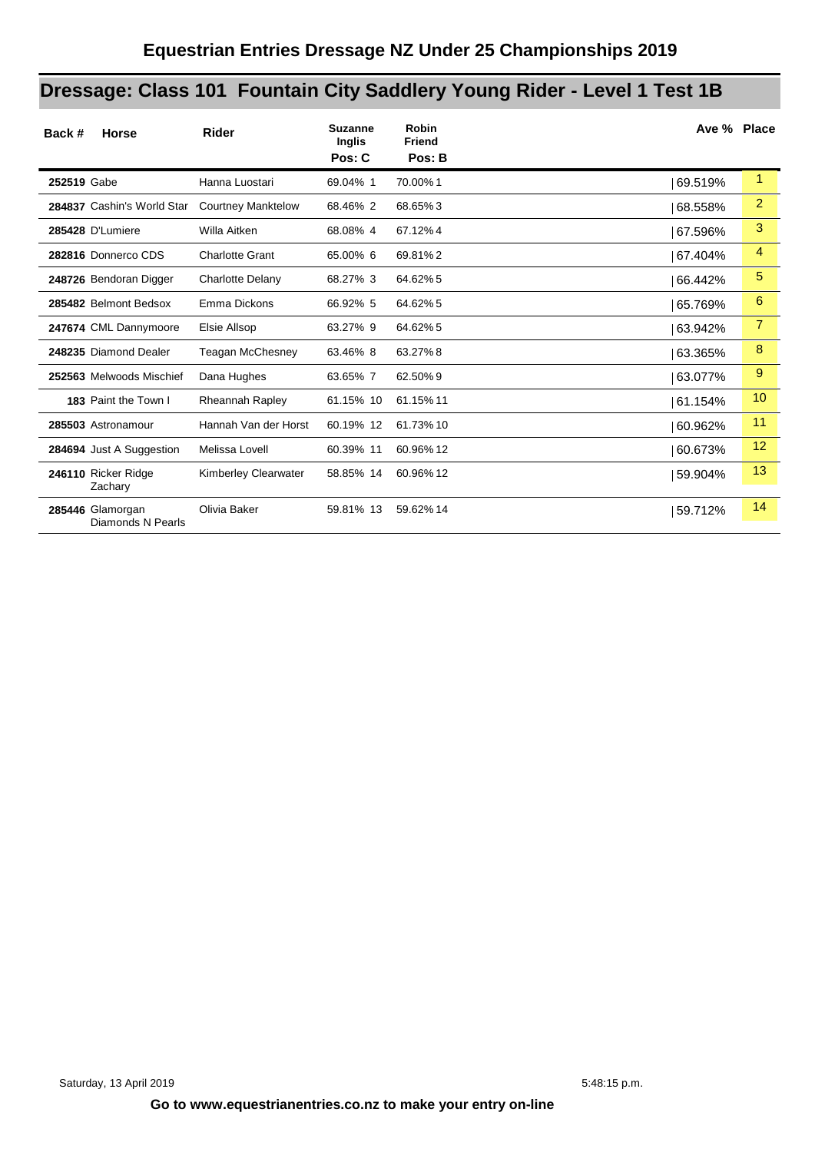# **Dressage: Class 101 Fountain City Saddlery Young Rider - Level 1 Test 1B**

| Back #<br><b>Horse</b>                | <b>Rider</b>                | <b>Suzanne</b><br>Inglis<br>Pos: C | <b>Robin</b><br><b>Friend</b><br>Pos: B |         | Ave % Place |
|---------------------------------------|-----------------------------|------------------------------------|-----------------------------------------|---------|-------------|
| 252519 Gabe                           | Hanna Luostari              | 69.04% 1                           | 70.00%1                                 | 69.519% | 1           |
| 284837 Cashin's World Star            | <b>Courtney Manktelow</b>   | 68.46% 2                           | 68.65%3                                 | 68.558% | 2           |
| 285428 D'Lumiere                      | Willa Aitken                | 68.08% 4                           | 67.12%4                                 | 67.596% | 3           |
| 282816 Donnerco CDS                   | <b>Charlotte Grant</b>      | 65.00% 6                           | 69.81%2                                 | 67.404% | 4           |
| 248726 Bendoran Digger                | <b>Charlotte Delany</b>     | 68.27% 3                           | 64.62% 5                                | 66.442% | 5           |
| 285482 Belmont Bedsox                 | Emma Dickons                | 66.92% 5                           | 64.62%5                                 | 65.769% | 6           |
| 247674 CML Dannymoore                 | Elsie Allsop                | 63.27% 9                           | 64.62% 5                                | 63.942% | 7           |
| 248235 Diamond Dealer                 | <b>Teagan McChesney</b>     | 63.46% 8                           | 63.27%8                                 | 63.365% | 8           |
| 252563 Melwoods Mischief              | Dana Hughes                 | 63.65% 7                           | 62.50%9                                 | 63.077% | 9           |
| 183 Paint the Town I                  | Rheannah Rapley             | 61.15% 10                          | 61.15% 11                               | 61.154% | 10          |
| 285503 Astronamour                    | Hannah Van der Horst        | 60.19% 12                          | 61.73% 10                               | 60.962% | 11          |
| 284694 Just A Suggestion              | Melissa Lovell              | 60.39% 11                          | 60.96% 12                               | 60.673% | 12          |
| 246110 Ricker Ridge<br>Zachary        | <b>Kimberley Clearwater</b> | 58.85% 14                          | 60.96% 12                               | 59.904% | 13          |
| 285446 Glamorgan<br>Diamonds N Pearls | Olivia Baker                | 59.81% 13                          | 59.62% 14                               | 59.712% | 14          |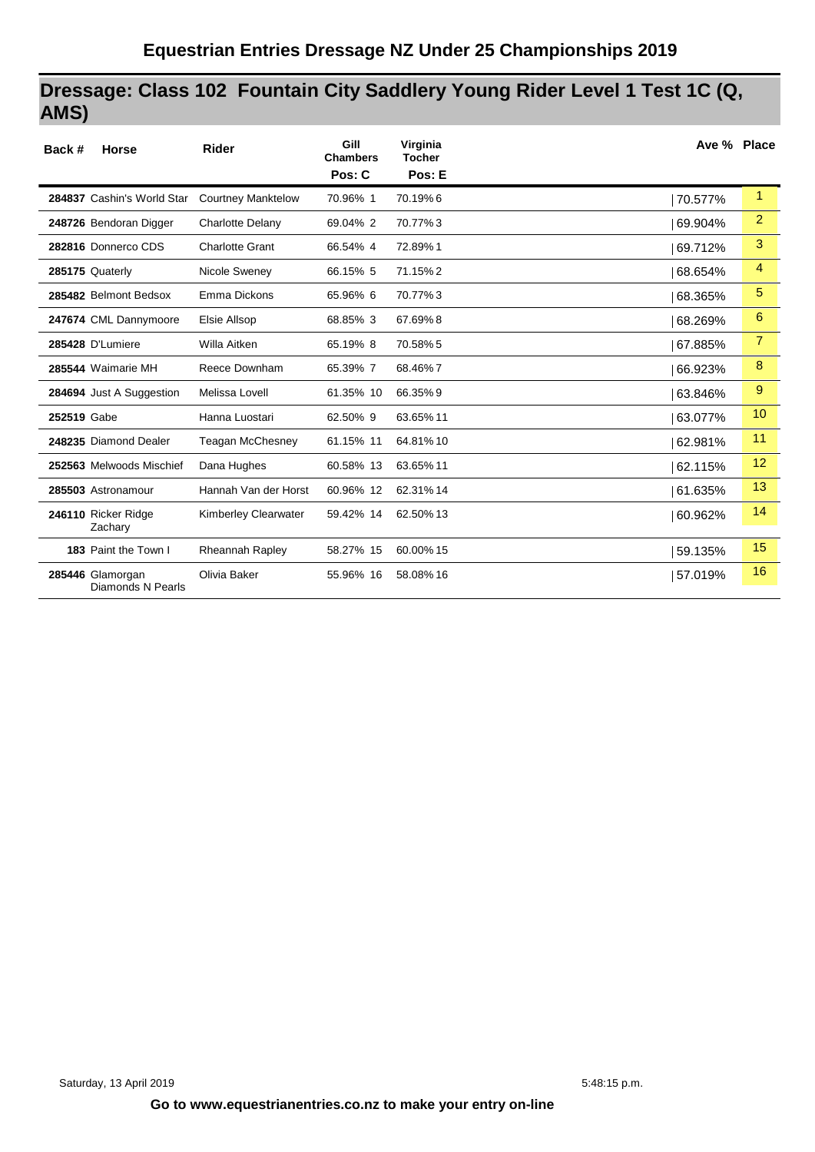# **Dressage: Class 102 Fountain City Saddlery Young Rider Level 1 Test 1C (Q, AMS)**

| Back #      | <b>Horse</b>                          | <b>Rider</b>              | Gill<br><b>Chambers</b><br>Pos: C | Virginia<br><b>Tocher</b><br>Pos: E | Ave % Place |                |
|-------------|---------------------------------------|---------------------------|-----------------------------------|-------------------------------------|-------------|----------------|
|             | 284837 Cashin's World Star            | <b>Courtney Manktelow</b> | 70.96% 1                          | 70.19%6                             | 70.577%     | 1              |
|             | 248726 Bendoran Digger                | Charlotte Delany          | 69.04% 2                          | 70.77%3                             | 69.904%     | 2              |
|             | 282816 Donnerco CDS                   | <b>Charlotte Grant</b>    | 66.54% 4                          | 72.89%1                             | 69.712%     | 3              |
|             | 285175 Quaterly                       | Nicole Sweney             | 66.15% 5                          | 71.15%2                             | 68.654%     | $\overline{4}$ |
|             | 285482 Belmont Bedsox                 | Emma Dickons              | 65.96% 6                          | 70.77%3                             | 68.365%     | 5              |
|             | 247674 CML Dannymoore                 | Elsie Allsop              | 68.85% 3                          | 67.69%8                             | 68.269%     | 6              |
|             | 285428 D'Lumiere                      | Willa Aitken              | 65.19% 8                          | 70.58% 5                            | 67.885%     | $\overline{7}$ |
|             | 285544 Waimarie MH                    | Reece Downham             | 65.39% 7                          | 68.46%7                             | 66.923%     | 8              |
|             | 284694 Just A Suggestion              | Melissa Lovell            | 61.35% 10                         | 66.35%9                             | 63.846%     | 9              |
| 252519 Gabe |                                       | Hanna Luostari            | 62.50% 9                          | 63.65% 11                           | 63.077%     | 10             |
|             | 248235 Diamond Dealer                 | <b>Teagan McChesney</b>   | 61.15% 11                         | 64.81%10                            | 62.981%     | 11             |
|             | 252563 Melwoods Mischief              | Dana Hughes               | 60.58% 13                         | 63.65% 11                           | 62.115%     | 12             |
|             | 285503 Astronamour                    | Hannah Van der Horst      | 60.96% 12                         | 62.31% 14                           | 61.635%     | 13             |
|             | 246110 Ricker Ridge<br>Zachary        | Kimberley Clearwater      | 59.42% 14                         | 62.50% 13                           | 60.962%     | 14             |
|             | 183 Paint the Town I                  | Rheannah Rapley           | 58.27% 15                         | 60.00% 15                           | 59.135%     | 15             |
|             | 285446 Glamorgan<br>Diamonds N Pearls | Olivia Baker              | 55.96% 16                         | 58.08% 16                           | 57.019%     | 16             |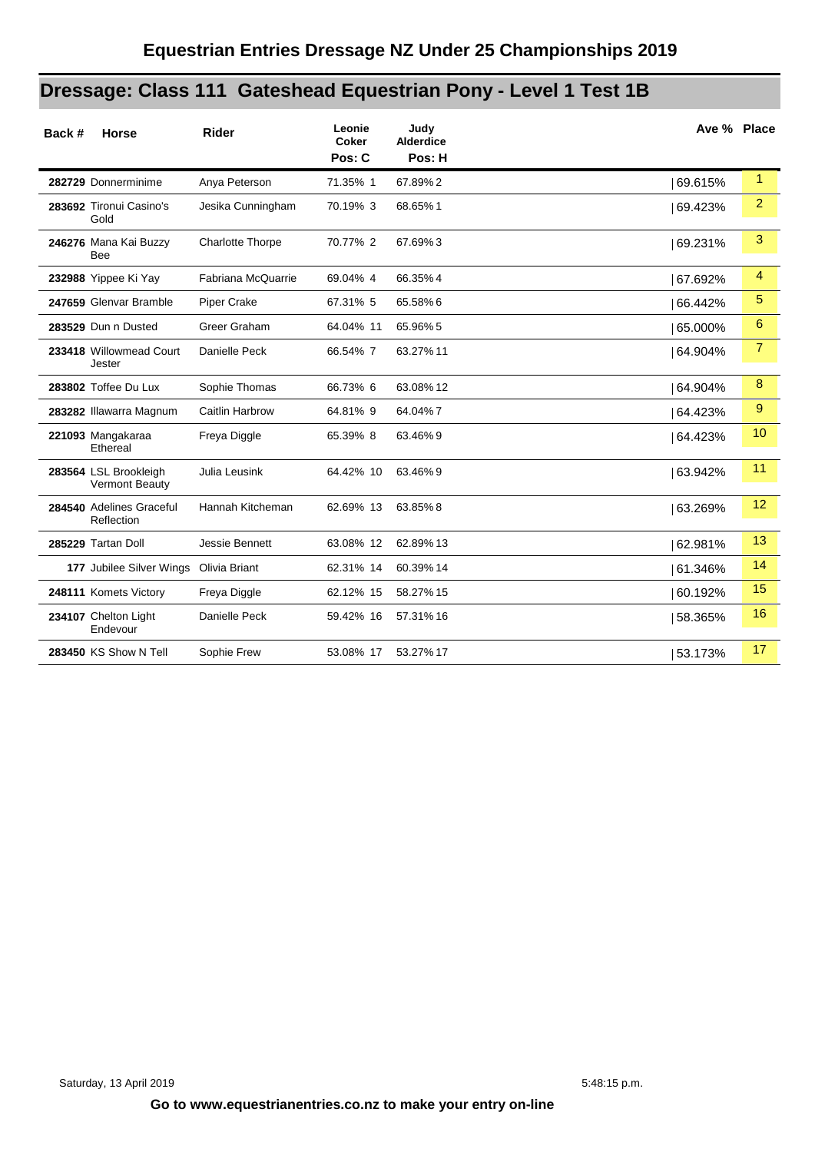# **Dressage: Class 111 Gateshead Equestrian Pony - Level 1 Test 1B**

| Back # | <b>Horse</b>                                   | <b>Rider</b>            | Leonie<br><b>Coker</b><br>Pos: C | Judy<br><b>Alderdice</b><br>Pos: H | Ave % Place |                |
|--------|------------------------------------------------|-------------------------|----------------------------------|------------------------------------|-------------|----------------|
|        | 282729 Donnerminime                            | Anya Peterson           | 71.35% 1                         | 67.89%2                            | 69.615%     | $\mathbf{1}$   |
|        | 283692 Tironui Casino's<br>Gold                | Jesika Cunningham       | 70.19% 3                         | 68.65%1                            | 69.423%     | $\overline{2}$ |
|        | 246276 Mana Kai Buzzy<br><b>Bee</b>            | <b>Charlotte Thorpe</b> | 70.77% 2                         | 67.69%3                            | 69.231%     | 3              |
|        | 232988 Yippee Ki Yay                           | Fabriana McQuarrie      | 69.04% 4                         | 66.35%4                            | 67.692%     | 4              |
|        | 247659 Glenvar Bramble                         | Piper Crake             | 67.31% 5                         | 65.58%6                            | 66.442%     | 5              |
|        | 283529 Dun n Dusted                            | Greer Graham            | 64.04% 11                        | 65.96% 5                           | 65.000%     | 6              |
|        | 233418 Willowmead Court<br>Jester              | Danielle Peck           | 66.54% 7                         | 63.27% 11                          | 64.904%     | $\overline{7}$ |
|        | 283802 Toffee Du Lux                           | Sophie Thomas           | 66.73% 6                         | 63.08% 12                          | 64.904%     | 8              |
|        | 283282 Illawarra Magnum                        | Caitlin Harbrow         | 64.81% 9                         | 64.04%7                            | 64.423%     | 9              |
|        | 221093 Mangakaraa<br>Ethereal                  | Freya Diggle            | 65.39% 8                         | 63.46%9                            | 64.423%     | 10             |
|        | 283564 LSL Brookleigh<br><b>Vermont Beauty</b> | Julia Leusink           | 64.42% 10                        | 63.46% 9                           | 63.942%     | 11             |
|        | 284540 Adelines Graceful<br>Reflection         | Hannah Kitcheman        | 62.69% 13                        | 63.85%8                            | 63.269%     | 12             |
|        | 285229 Tartan Doll                             | Jessie Bennett          | 63.08% 12                        | 62.89% 13                          | 62.981%     | 13             |
|        | 177 Jubilee Silver Wings Olivia Briant         |                         | 62.31% 14                        | 60.39% 14                          | 61.346%     | 14             |
|        | 248111 Komets Victory                          | Freya Diggle            | 62.12% 15                        | 58.27% 15                          | 60.192%     | 15             |
|        | 234107 Chelton Light<br>Endevour               | Danielle Peck           | 59.42% 16                        | 57.31% 16                          | 58.365%     | 16             |
|        | 283450 KS Show N Tell                          | Sophie Frew             | 53.08% 17                        | 53.27% 17                          | 53.173%     | 17             |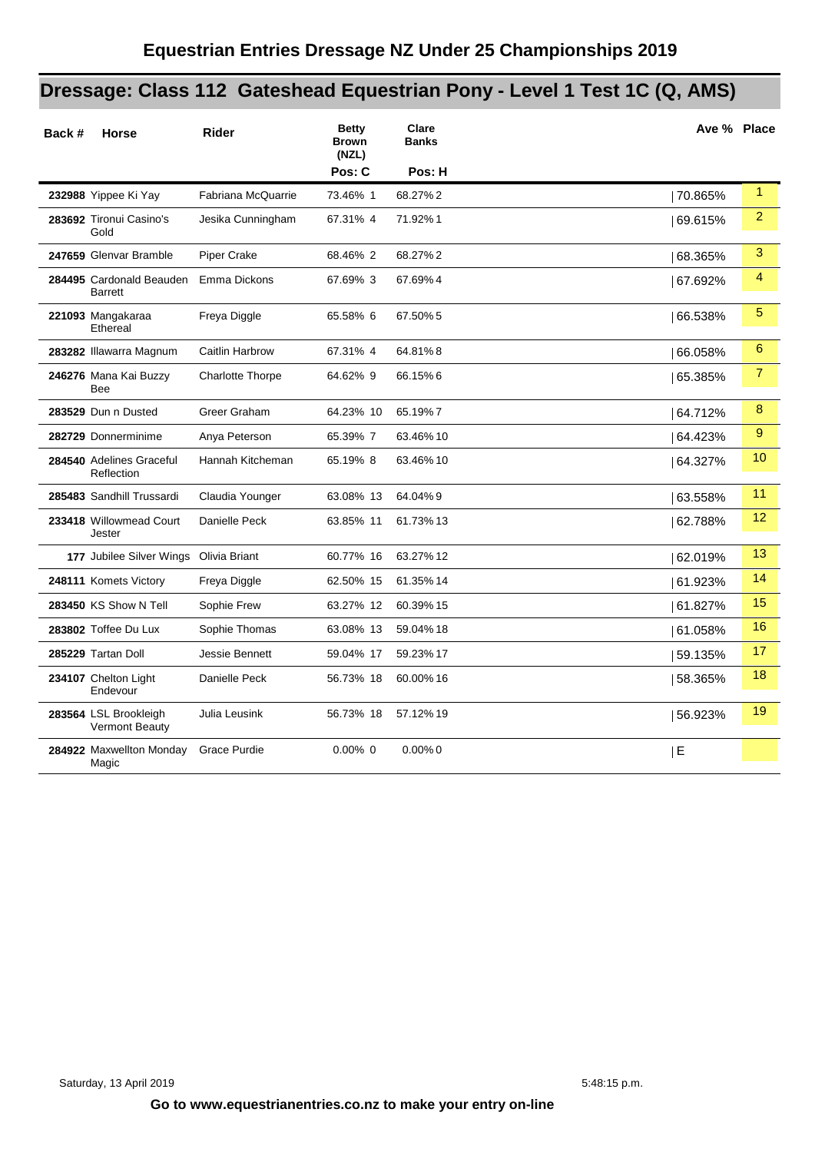# **Dressage: Class 112 Gateshead Equestrian Pony - Level 1 Test 1C (Q, AMS)**

| Back # | <b>Horse</b>                                   | <b>Rider</b>            | <b>Betty</b><br><b>Brown</b><br>(NZL)<br>Pos: C | Clare<br><b>Banks</b><br>Pos: H | Ave % Place |                |
|--------|------------------------------------------------|-------------------------|-------------------------------------------------|---------------------------------|-------------|----------------|
|        | 232988 Yippee Ki Yay                           | Fabriana McQuarrie      | 73.46% 1                                        | 68.27%2                         | 70.865%     | $\mathbf{1}$   |
|        | 283692 Tironui Casino's<br>Gold                | Jesika Cunningham       | 67.31% 4                                        | 71.92%1                         | 69.615%     | $\overline{2}$ |
|        | 247659 Glenvar Bramble                         | Piper Crake             | 68.46% 2                                        | 68.27%2                         | 68.365%     | 3              |
|        | 284495 Cardonald Beauden<br><b>Barrett</b>     | Emma Dickons            | 67.69% 3                                        | 67.69%4                         | 67.692%     | 4              |
|        | 221093 Mangakaraa<br>Ethereal                  | Freya Diggle            | 65.58% 6                                        | 67.50% 5                        | 66.538%     | 5              |
|        | 283282 Illawarra Magnum                        | Caitlin Harbrow         | 67.31% 4                                        | 64.81%8                         | 66.058%     | 6              |
|        | 246276 Mana Kai Buzzy<br>Bee                   | <b>Charlotte Thorpe</b> | 64.62% 9                                        | 66.15%6                         | 65.385%     | $\overline{7}$ |
|        | 283529 Dun n Dusted                            | Greer Graham            | 64.23% 10                                       | 65.19%7                         | 64.712%     | 8              |
|        | 282729 Donnerminime                            | Anya Peterson           | 65.39% 7                                        | 63.46%10                        | 64.423%     | 9              |
|        | 284540 Adelines Graceful<br>Reflection         | Hannah Kitcheman        | 65.19% 8                                        | 63.46% 10                       | 64.327%     | 10             |
|        | 285483 Sandhill Trussardi                      | Claudia Younger         | 63.08% 13                                       | 64.04%9                         | 63.558%     | 11             |
|        | 233418 Willowmead Court<br>Jester              | Danielle Peck           | 63.85% 11                                       | 61.73% 13                       | 62.788%     | 12             |
|        | 177 Jubilee Silver Wings Olivia Briant         |                         | 60.77% 16                                       | 63.27% 12                       | 62.019%     | 13             |
|        | 248111 Komets Victory                          | Freya Diggle            | 62.50% 15                                       | 61.35% 14                       | 61.923%     | 14             |
|        | 283450 KS Show N Tell                          | Sophie Frew             | 63.27% 12                                       | 60.39% 15                       | 61.827%     | 15             |
|        | 283802 Toffee Du Lux                           | Sophie Thomas           | 63.08% 13                                       | 59.04% 18                       | 61.058%     | 16             |
|        | 285229 Tartan Doll                             | Jessie Bennett          | 59.04% 17                                       | 59.23% 17                       | 59.135%     | 17             |
|        | 234107 Chelton Light<br>Endevour               | Danielle Peck           | 56.73% 18                                       | 60.00% 16                       | 58.365%     | 18             |
|        | 283564 LSL Brookleigh<br><b>Vermont Beauty</b> | Julia Leusink           | 56.73% 18                                       | 57.12% 19                       | 56.923%     | 19             |
|        | 284922 Maxwellton Monday<br>Magic              | <b>Grace Purdie</b>     | $0.00\%$ 0                                      | $0.00\%$ 0                      | E           |                |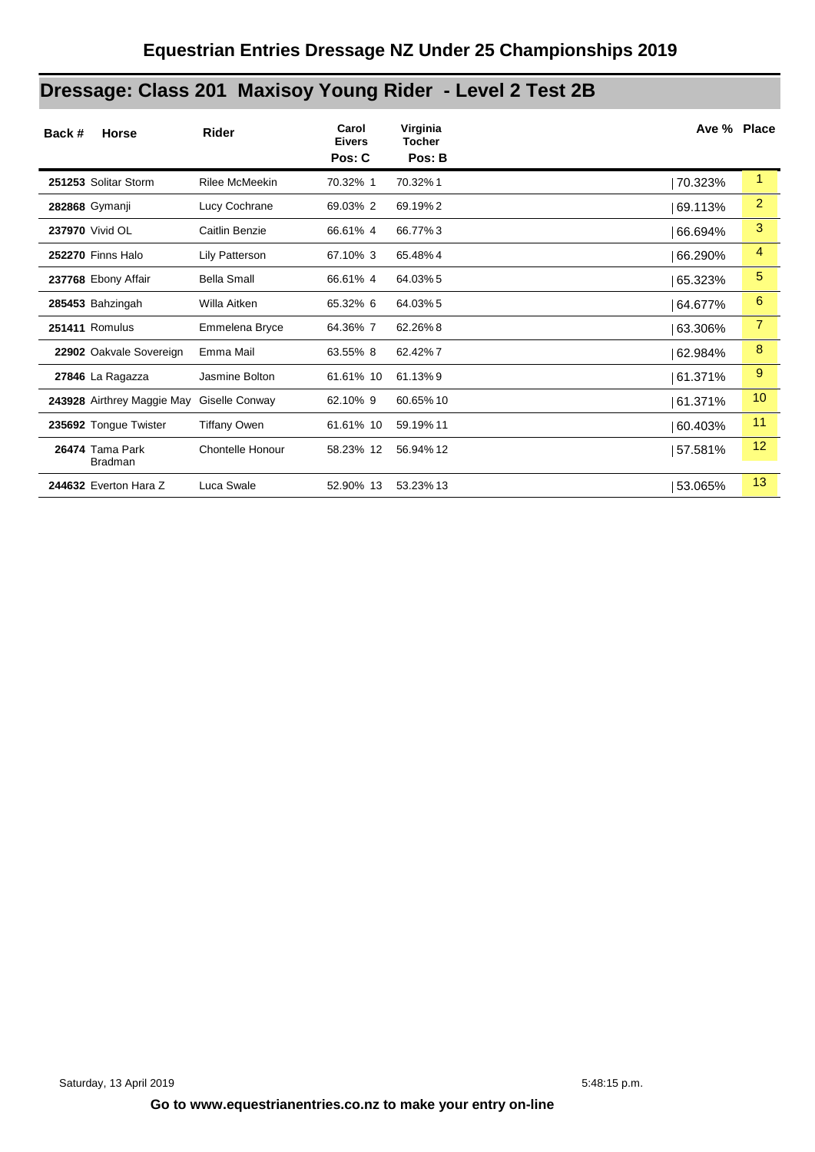# **Dressage: Class 201 Maxisoy Young Rider - Level 2 Test 2B**

| Back #<br>Horse                   | <b>Rider</b>       | Carol<br><b>Eivers</b><br>Pos: C | Virginia<br><b>Tocher</b><br>Pos: B | Ave % Place |                 |
|-----------------------------------|--------------------|----------------------------------|-------------------------------------|-------------|-----------------|
| 251253 Solitar Storm              | Rilee McMeekin     | 70.32% 1                         | 70.32%1                             | 70.323%     | 1               |
| 282868 Gymanji                    | Lucy Cochrane      | 69.03% 2                         | 69.19%2                             | 69.113%     | $\overline{2}$  |
| 237970 Vivid OL                   | Caitlin Benzie     | 66.61% 4                         | 66.77%3                             | 66.694%     | 3               |
| <b>252270 Finns Halo</b>          | Lily Patterson     | 67.10% 3                         | 65.48%4                             | 66.290%     | 4               |
| 237768 Ebony Affair               | <b>Bella Small</b> | 66.61% 4                         | 64.03% 5                            | 65.323%     | 5               |
| 285453 Bahzingah                  | Willa Aitken       | 65.32% 6                         | 64.03% 5                            | 64.677%     | 6               |
| 251411 Romulus                    | Emmelena Bryce     | 64.36% 7                         | 62.26%8                             | 63.306%     | 7               |
| 22902 Oakvale Sovereign           | Emma Mail          | 63.55% 8                         | 62.42%7                             | 62.984%     | 8               |
| 27846 La Ragazza                  | Jasmine Bolton     | 61.61% 10                        | 61.13%9                             | 61.371%     | 9               |
| 243928 Airthrey Maggie May        | Giselle Conway     | 62.10% 9                         | 60.65% 10                           | 61.371%     | 10 <sup>°</sup> |
| 235692 Tongue Twister             | Tiffany Owen       | 61.61% 10                        | 59.19% 11                           | 60.403%     | 11              |
| 26474 Tama Park<br><b>Bradman</b> | Chontelle Honour   | 58.23% 12                        | 56.94% 12                           | 57.581%     | 12              |
| 244632 Everton Hara Z             | Luca Swale         | 52.90% 13                        | 53.23% 13                           | 53.065%     | 13              |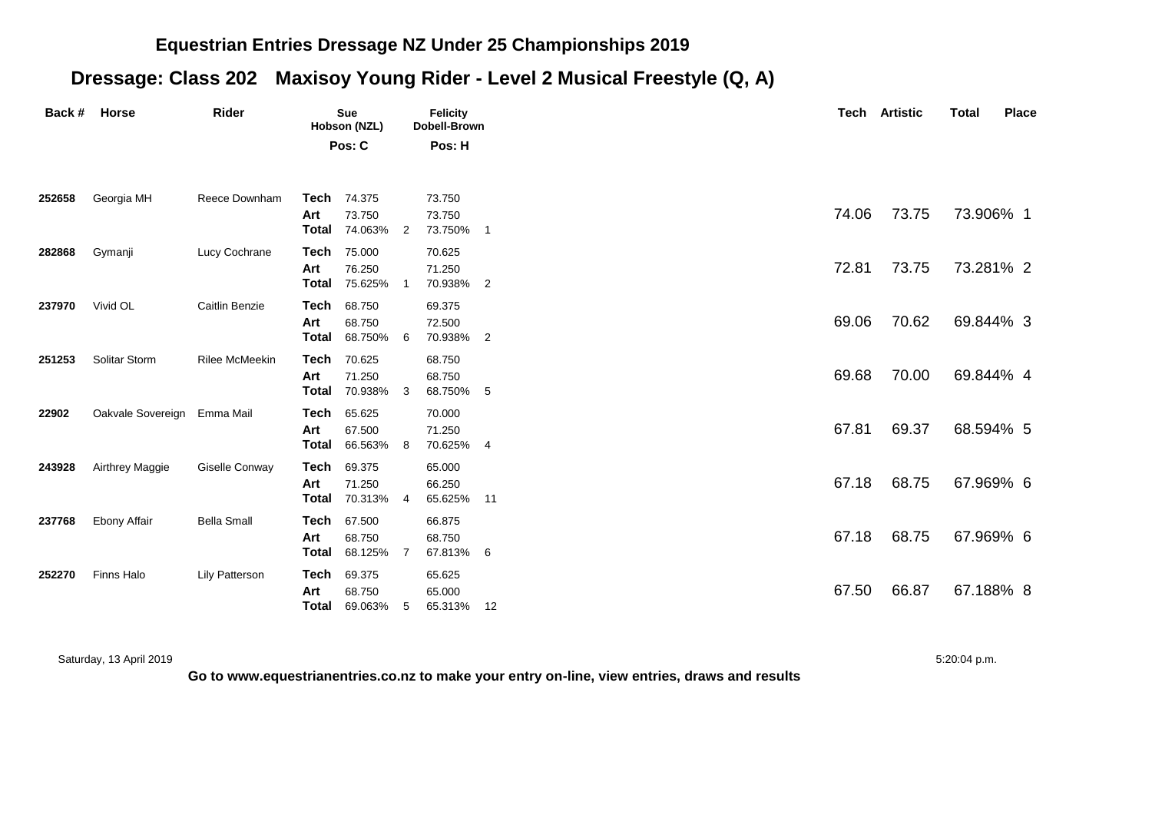#### **Equestrian Entries Dressage NZ Under 25 Championships 2019**

## **Dressage: Class 202 Maxisoy Young Rider - Level 2 Musical Freestyle (Q, A)**

| Back # | <b>Horse</b>                | Rider                 | <b>Sue</b><br>Hobson (NZL)          |                               |     | <b>Felicity</b><br>Dobell-Brown |                |  |  |       | <b>Tech Artistic</b> | <b>Total</b> | <b>Place</b> |
|--------|-----------------------------|-----------------------|-------------------------------------|-------------------------------|-----|---------------------------------|----------------|--|--|-------|----------------------|--------------|--------------|
|        |                             |                       | Pos: C                              |                               |     | Pos: H                          |                |  |  |       |                      |              |              |
| 252658 | Georgia MH                  | Reece Downham         | Tech 74.375                         |                               |     | 73.750                          |                |  |  |       |                      |              |              |
|        |                             |                       | Art<br>Total 74.063% 2              | 73.750                        |     | 73.750<br>73.750%               | $\overline{1}$ |  |  | 74.06 | 73.75                | 73.906% 1    |              |
| 282868 | Gymanji                     | Lucy Cochrane         | Tech<br>Art<br><b>Total</b> 75.625% | 75.000<br>76.250              |     | 70.625<br>71.250<br>70.938%     | $\overline{2}$ |  |  | 72.81 | 73.75                | 73.281% 2    |              |
| 237970 | Vivid OL                    | Caitlin Benzie        | Tech<br>Art<br>Total 68.750% 6      | 68.750<br>68.750              |     | 69.375<br>72.500<br>70.938% 2   |                |  |  | 69.06 | 70.62                | 69.844% 3    |              |
| 251253 | Solitar Storm               | <b>Rilee McMeekin</b> | Tech<br>Art<br>Total                | 70.625<br>71.250<br>70.938% 3 |     | 68.750<br>68.750<br>68.750%     | -5             |  |  | 69.68 | 70.00                | 69.844% 4    |              |
| 22902  | Oakvale Sovereign Emma Mail |                       | Tech<br>Art<br>Total                | 65.625<br>67.500<br>66.563%   | - 8 | 70.000<br>71.250<br>70.625% 4   |                |  |  | 67.81 | 69.37                | 68.594% 5    |              |
| 243928 | Airthrey Maggie             | Giselle Conway        | Tech<br>Art<br>Total                | 69.375<br>71.250<br>70.313%   | - 4 | 65.000<br>66.250<br>65.625%     | 11             |  |  | 67.18 | 68.75                | 67.969% 6    |              |
| 237768 | Ebony Affair                | <b>Bella Small</b>    | Tech<br>Art<br>Total                | 67.500<br>68.750<br>68.125%   | -7  | 66.875<br>68.750<br>67.813%     | 6              |  |  | 67.18 | 68.75                | 67.969% 6    |              |
| 252270 | Finns Halo                  | <b>Lily Patterson</b> | Tech<br>Art<br><b>Total 69.063%</b> | 69.375<br>68.750              | 5   | 65.625<br>65.000<br>65.313% 12  |                |  |  | 67.50 | 66.87                | 67.188% 8    |              |

Saturday, 13 April 2019 5:20:04 p.m.

**Go to www.equestrianentries.co.nz to make your entry on-line, view entries, draws and results**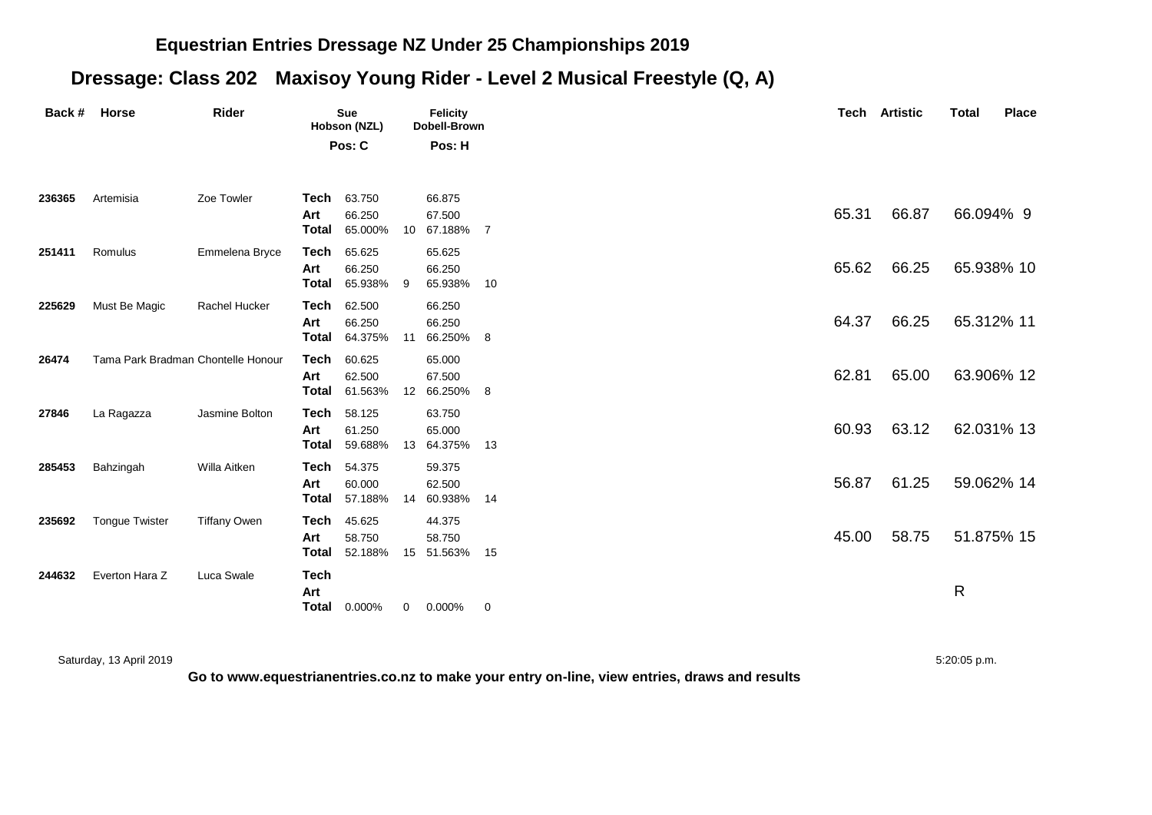#### **Equestrian Entries Dressage NZ Under 25 Championships 2019**

## **Dressage: Class 202 Maxisoy Young Rider - Level 2 Musical Freestyle (Q, A)**

| Back # | <b>Horse</b>                       | Rider               |                                           | <b>Sue</b><br>Hobson (NZL)  |             | <b>Felicity</b><br>Dobell-Brown   |    |       | <b>Tech Artistic</b> | <b>Total</b> | <b>Place</b> |
|--------|------------------------------------|---------------------|-------------------------------------------|-----------------------------|-------------|-----------------------------------|----|-------|----------------------|--------------|--------------|
|        |                                    |                     |                                           | Pos: C                      |             | Pos: H                            |    |       |                      |              |              |
| 236365 | Artemisia                          | Zoe Towler          | Tech<br>Art<br>Total                      | 63.750<br>66.250<br>65.000% |             | 66.875<br>67.500<br>10 67.188% 7  |    | 65.31 | 66.87                | 66.094% 9    |              |
| 251411 | Romulus                            | Emmelena Bryce      | Tech<br>Art<br>Total                      | 65.625<br>66.250<br>65.938% | 9           | 65.625<br>66.250<br>65.938%       | 10 | 65.62 | 66.25                | 65.938% 10   |              |
| 225629 | Must Be Magic                      | Rachel Hucker       | Tech<br>Art<br>Total                      | 62.500<br>66.250<br>64.375% |             | 66.250<br>66.250<br>11 66.250% 8  |    | 64.37 | 66.25                | 65.312% 11   |              |
| 26474  | Tama Park Bradman Chontelle Honour |                     | Tech<br>Art<br>Total                      | 60.625<br>62.500<br>61.563% |             | 65.000<br>67.500<br>12 66.250% 8  |    | 62.81 | 65.00                | 63.906% 12   |              |
| 27846  | La Ragazza                         | Jasmine Bolton      | Tech<br>Art<br>Total                      | 58.125<br>61.250<br>59.688% |             | 63.750<br>65.000<br>13 64.375%    | 13 | 60.93 | 63.12                | 62.031% 13   |              |
| 285453 | Bahzingah                          | Willa Aitken        | Tech<br>Art<br>Total                      | 54.375<br>60.000<br>57.188% |             | 59.375<br>62.500<br>14 60.938%    | 14 | 56.87 | 61.25                | 59.062% 14   |              |
| 235692 | <b>Tongue Twister</b>              | <b>Tiffany Owen</b> | Tech<br>Art<br>Total                      | 45.625<br>58.750<br>52.188% |             | 44.375<br>58.750<br>15 51.563% 15 |    | 45.00 | 58.75                | 51.875% 15   |              |
| 244632 | Everton Hara Z                     | Luca Swale          | <b>Tech</b><br>Art<br><b>Total</b> 0.000% |                             | $\mathbf 0$ | $0.000\%$                         | 0  |       |                      | R            |              |

Saturday, 13 April 2019 5:20:05 p.m.

**Go to www.equestrianentries.co.nz to make your entry on-line, view entries, draws and results**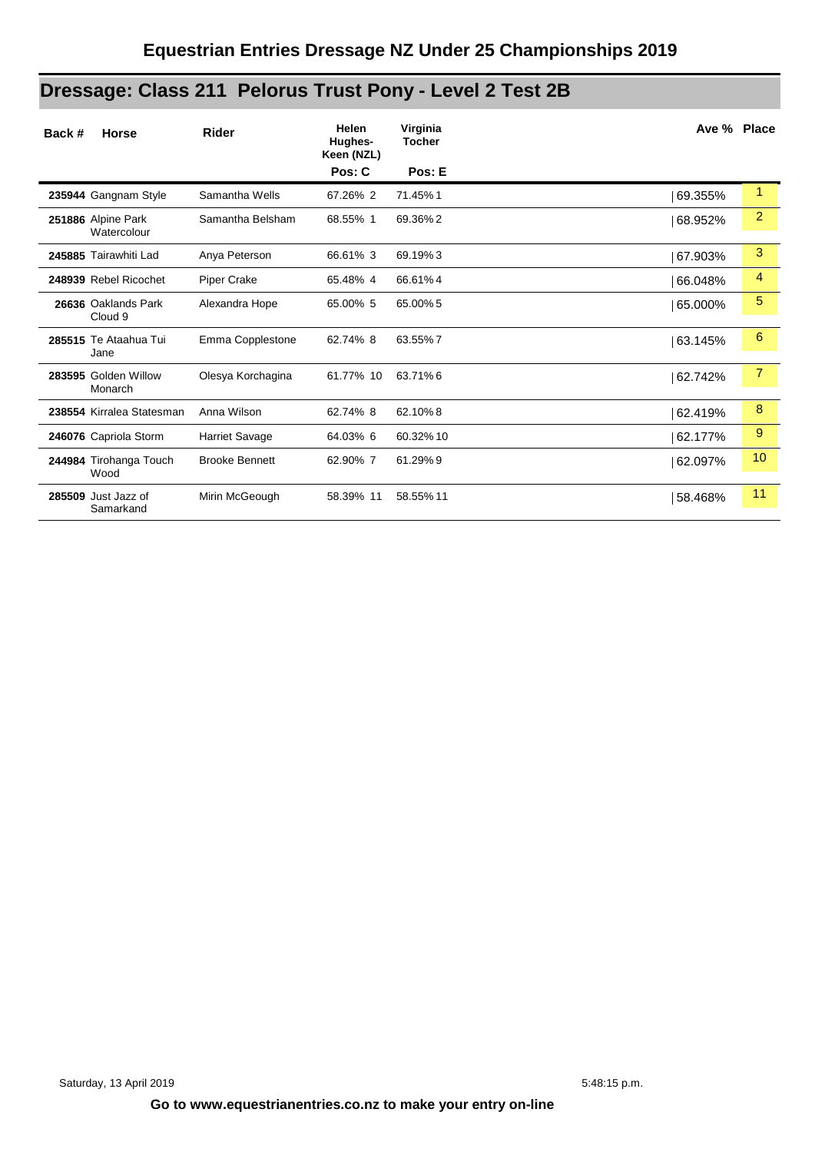# **Dressage: Class 211 Pelorus Trust Pony - Level 2 Test 2B**

| Back # | <b>Horse</b>                      | <b>Rider</b>          | <b>Helen</b><br>Hughes-<br>Keen (NZL) | Virginia<br><b>Tocher</b> | Ave % Place |                |
|--------|-----------------------------------|-----------------------|---------------------------------------|---------------------------|-------------|----------------|
|        |                                   |                       | Pos: C                                | Pos: E                    |             |                |
|        | 235944 Gangnam Style              | Samantha Wells        | 67.26% 2                              | 71.45%1                   | 69.355%     | 1              |
|        | 251886 Alpine Park<br>Watercolour | Samantha Belsham      | 68.55% 1                              | 69.36%2                   | 68.952%     | $\overline{2}$ |
|        | 245885 Tairawhiti Lad             | Anya Peterson         | 66.61% 3                              | 69.19%3                   | 67.903%     | 3              |
|        | 248939 Rebel Ricochet             | <b>Piper Crake</b>    | 65.48% 4                              | 66.61%4                   | 66.048%     | 4              |
|        | 26636 Oaklands Park<br>Cloud 9    | Alexandra Hope        | 65.00% 5                              | 65.00% 5                  | 65.000%     | 5              |
|        | 285515 Te Ataahua Tui<br>Jane     | Emma Copplestone      | 62.74% 8                              | 63.55%7                   | 63.145%     | 6              |
|        | 283595 Golden Willow<br>Monarch   | Olesya Korchagina     | 61.77% 10                             | 63.71%6                   | 62.742%     | $\overline{7}$ |
|        | 238554 Kirralea Statesman         | Anna Wilson           | 62.74% 8                              | 62.10%8                   | 62.419%     | 8              |
|        | 246076 Capriola Storm             | Harriet Savage        | 64.03% 6                              | 60.32% 10                 | 62.177%     | 9              |
|        | 244984 Tirohanga Touch<br>Wood    | <b>Brooke Bennett</b> | 62.90% 7                              | 61.29%9                   | 62.097%     | 10             |
|        | 285509 Just Jazz of<br>Samarkand  | Mirin McGeough        | 58.39% 11                             | 58.55% 11                 | 58.468%     | 11             |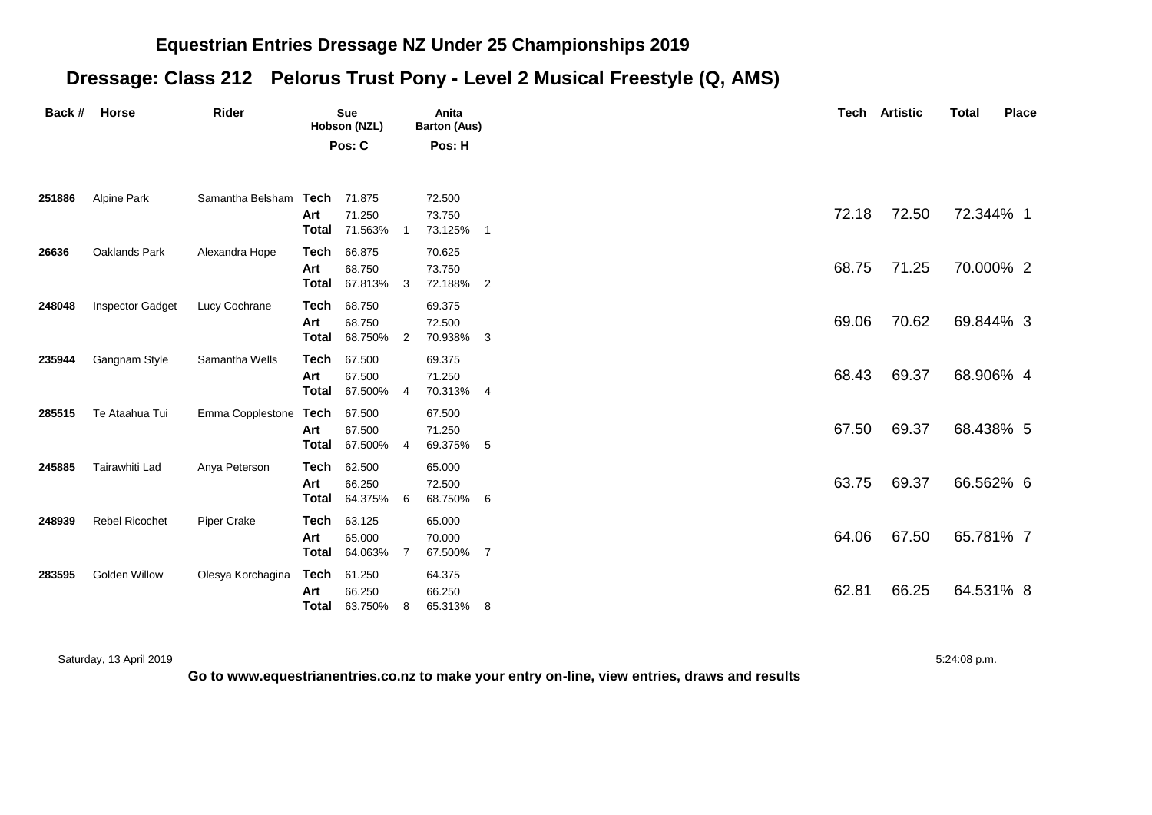#### **Equestrian Entries Dressage NZ Under 25 Championships 2019**

## **Dressage: Class 212 Pelorus Trust Pony - Level 2 Musical Freestyle (Q, AMS)**

| Back # Horse |                      | Rider                        |                      | <b>Sue</b><br>Hobson (NZL)     |                | Anita<br><b>Barton (Aus)</b>  |                |
|--------------|----------------------|------------------------------|----------------------|--------------------------------|----------------|-------------------------------|----------------|
|              |                      |                              |                      | Pos: C                         |                | Pos: H                        |                |
| 251886       | Alpine Park          | Samantha Belsham Tech 71.875 |                      |                                |                | 72.500                        |                |
|              |                      |                              | Art                  | 71.250<br><b>Total</b> 71.563% |                | 73.750<br>73.125%             | - 1            |
| 26636        | Oaklands Park        | Alexandra Hope               | Tech<br>Art<br>Total | 66.875<br>68.750<br>67.813% 3  |                | 70.625<br>73.750<br>72.188%   | $\overline{2}$ |
| 248048       | Inspector Gadget     | Lucy Cochrane                | Tech<br>Art<br>Total | 68.750<br>68.750<br>68.750%    | $\overline{2}$ | 69.375<br>72.500<br>70.938%   | 3              |
| 235944       | Gangnam Style        | Samantha Wells               | Tech<br>Art<br>Total | 67.500<br>67.500<br>67.500% 4  |                | 69.375<br>71.250<br>70.313% 4 |                |
| 285515       | Te Ataahua Tui       | Emma Copplestone             | Tech<br>Art<br>Total | 67.500<br>67.500<br>67.500%    | -4             | 67.500<br>71.250<br>69.375% 5 |                |
| 245885       | Tairawhiti Lad       | Anya Peterson                | Tech<br>Art<br>Total | 62.500<br>66.250<br>64.375% 6  |                | 65.000<br>72.500<br>68.750%   | 6              |
| 248939       | Rebel Ricochet       | Piper Crake                  | Tech<br>Art<br>Total | 63.125<br>65.000<br>64.063%    | - 7            | 65.000<br>70.000<br>67.500%   | -7             |
| 283595       | <b>Golden Willow</b> | Olesya Korchagina            | Tech<br>Art<br>Total | 61.250<br>66.250<br>63.750%    | 8              | 64.375<br>66.250<br>65.313%   | 8              |

Saturday, 13 April 2019 5:24:08 p.m.

**Go to www.equestrianentries.co.nz to make your entry on-line, view entries, draws and results**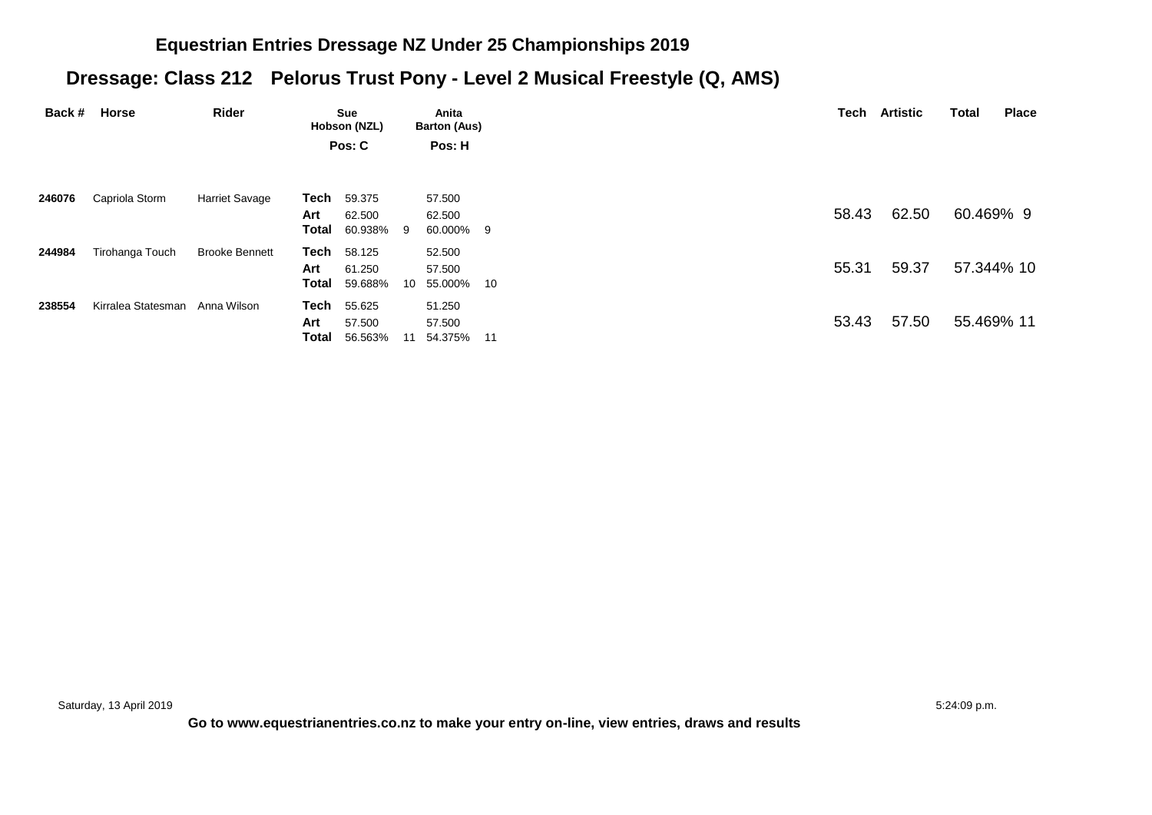#### **Equestrian Entries Dressage NZ Under 25 Championships 2019**

## **Dressage: Class 212 Pelorus Trust Pony - Level 2 Musical Freestyle (Q, AMS)**

| Back # | Horse                          | Rider                 |       | Sue<br>Hobson (NZL)                          |    | Anita<br><b>Barton (Aus)</b> |  |
|--------|--------------------------------|-----------------------|-------|----------------------------------------------|----|------------------------------|--|
|        |                                |                       |       | Pos: C                                       |    | Pos: H                       |  |
|        |                                |                       |       |                                              |    |                              |  |
| 246076 | Capriola Storm                 | <b>Harriet Savage</b> | Art   | <b>Tech</b> 59.375<br>62.500                 |    | 57.500<br>62.500             |  |
| 244984 | Tirohanga Touch                | <b>Brooke Bennett</b> |       | <b>Total</b> 60.938% 9<br><b>Tech</b> 58.125 |    | 60.000% 9<br>52.500          |  |
|        |                                |                       | Art   | 61.250                                       |    | 57.500                       |  |
| 238554 | Kirralea Statesman Anna Wilson |                       |       | <b>Total</b> 59.688%<br><b>Tech</b> 55.625   |    | 10 55.000% 10<br>51.250      |  |
|        |                                |                       | Art   | 57.500                                       |    | 57.500                       |  |
|        |                                |                       | Total | 56.563%                                      | 11 | 54.375% 11                   |  |

Saturday, 13 April 2019 **5:24:09 p.m.** 5:24:09 p.m.

**Go to www.equestrianentries.co.nz to make your entry on-line, view entries, draws and results**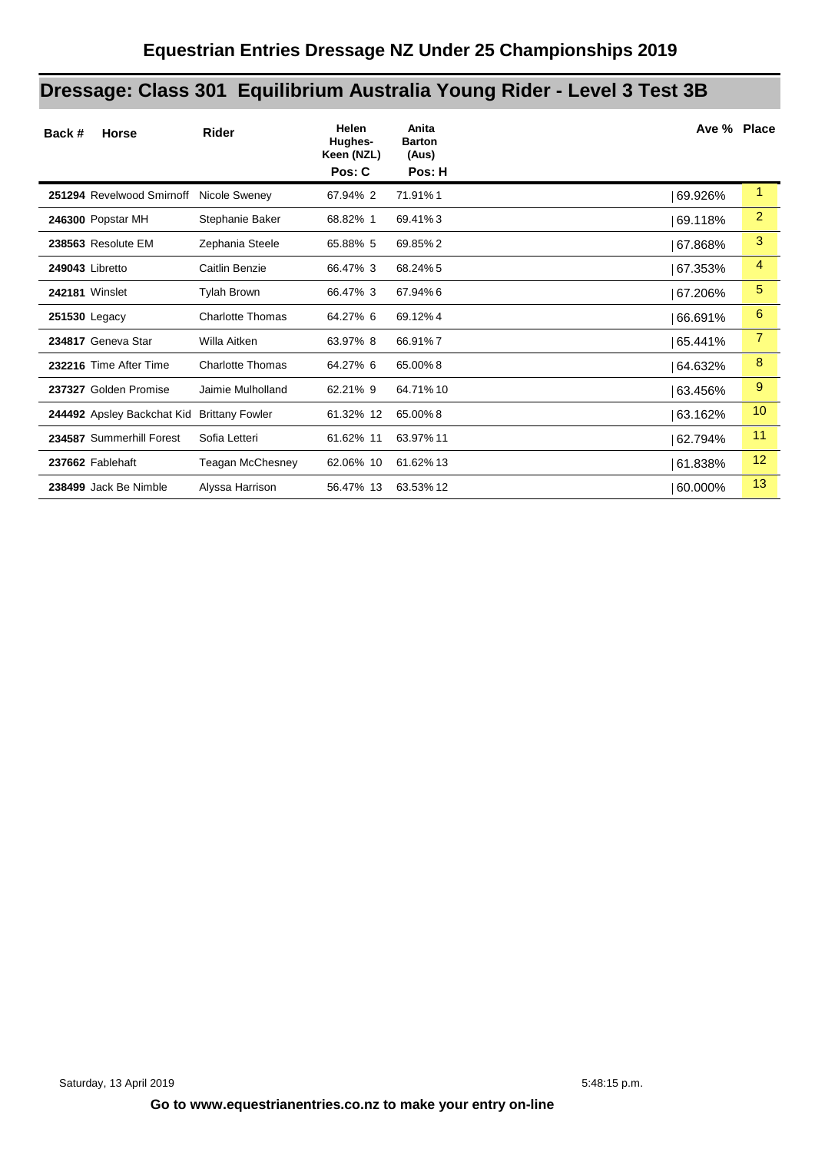# **Dressage: Class 301 Equilibrium Australia Young Rider - Level 3 Test 3B**

| Back #<br><b>Horse</b>     | <b>Rider</b>            | Helen<br>Hughes-<br>Keen (NZL)<br>Pos: C | Anita<br><b>Barton</b><br>(Aus)<br>Pos: H | Ave % Place |                |
|----------------------------|-------------------------|------------------------------------------|-------------------------------------------|-------------|----------------|
| 251294 Revelwood Smirnoff  | Nicole Sweney           | 67.94% 2                                 | 71.91%1                                   | 69.926%     | 1              |
| 246300 Popstar MH          | Stephanie Baker         | 68.82% 1                                 | 69.41%3                                   | 69.118%     | $\overline{2}$ |
| 238563 Resolute EM         | Zephania Steele         | 65.88% 5                                 | 69.85%2                                   | 67.868%     | 3              |
| 249043 Libretto            | Caitlin Benzie          | 66.47% 3                                 | 68.24%5                                   | 67.353%     | 4              |
| <b>242181 Winslet</b>      | <b>Tylah Brown</b>      | 66.47% 3                                 | 67.94%6                                   | 67.206%     | 5              |
| 251530 Legacy              | <b>Charlotte Thomas</b> | 64.27% 6                                 | 69.12%4                                   | 66.691%     | 6              |
| 234817 Geneva Star         | Willa Aitken            | 63.97% 8                                 | 66.91%7                                   | 65.441%     | 7              |
| 232216 Time After Time     | <b>Charlotte Thomas</b> | 64.27% 6                                 | 65.00%8                                   | 64.632%     | 8              |
| 237327 Golden Promise      | Jaimie Mulholland       | 62.21% 9                                 | 64.71% 10                                 | 63.456%     | 9              |
| 244492 Apsley Backchat Kid | <b>Brittany Fowler</b>  | 61.32% 12                                | 65.00%8                                   | 63.162%     | 10             |
| 234587 Summerhill Forest   | Sofia Letteri           | 61.62% 11                                | 63.97% 11                                 | 62.794%     | 11             |
| 237662 Fablehaft           | Teagan McChesney        | 62.06% 10                                | 61.62% 13                                 | 61.838%     | 12             |
| 238499 Jack Be Nimble      | Alyssa Harrison         | 56.47% 13                                | 63.53% 12                                 | 60.000%     | 13             |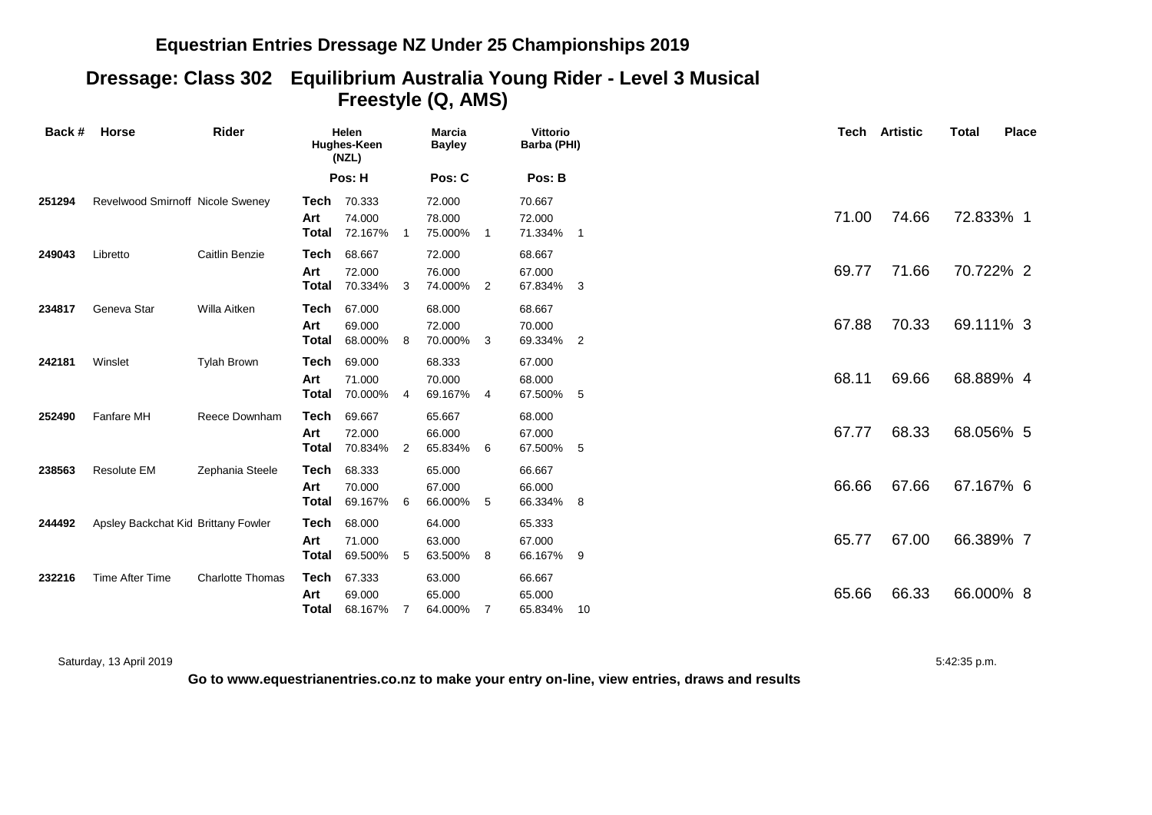#### **Equestrian Entries Dressage NZ Under 25 Championships 2019**

### **Dressage: Class 302 Equilibrium Australia Young Rider - Level 3 Musical Freestyle (Q, AMS)**

| Back # | <b>Horse</b>                        | Rider                   |                      | Helen<br>Hughes-Keen<br>(NZL) |                | <b>Marcia</b><br><b>Bayley</b> |                | <b>Vittorio</b><br>Barba (PHI) | Tech  | <b>Artistic</b> | Total     | <b>Place</b> |
|--------|-------------------------------------|-------------------------|----------------------|-------------------------------|----------------|--------------------------------|----------------|--------------------------------|-------|-----------------|-----------|--------------|
|        |                                     |                         |                      | Pos: H                        |                | Pos: C                         |                | Pos: B                         |       |                 |           |              |
| 251294 | Revelwood Smirnoff Nicole Sweney    |                         | Tech<br>Art<br>Total | 70.333<br>74.000<br>72.167%   |                | 72.000<br>78.000<br>75.000%    | $\overline{1}$ | 70.667<br>72.000<br>71.334% 1  | 71.00 | 74.66           | 72.833% 1 |              |
| 249043 | Libretto                            | Caitlin Benzie          | Tech<br>Art<br>Total | 68.667<br>72.000<br>70.334%   | -3             | 72.000<br>76.000<br>74.000%    | 2              | 68.667<br>67.000<br>67.834% 3  | 69.77 | 71.66           | 70.722% 2 |              |
| 234817 | Geneva Star                         | Willa Aitken            | Tech<br>Art<br>Total | 67.000<br>69.000<br>68.000%   | 8              | 68.000<br>72.000<br>70.000%    | -3             | 68.667<br>70.000<br>69.334% 2  | 67.88 | 70.33           | 69.111% 3 |              |
| 242181 | Winslet                             | <b>Tylah Brown</b>      | Tech<br>Art<br>Total | 69.000<br>71.000<br>70.000%   | $\overline{4}$ | 68.333<br>70.000<br>69.167%    | $\overline{4}$ | 67.000<br>68.000<br>67.500% 5  | 68.11 | 69.66           | 68.889% 4 |              |
| 252490 | Fanfare MH                          | Reece Downham           | Tech<br>Art<br>Total | 69.667<br>72.000<br>70.834%   | -2             | 65.667<br>66.000<br>65.834%    | 6              | 68.000<br>67.000<br>67.500% 5  | 67.77 | 68.33           | 68.056% 5 |              |
| 238563 | <b>Resolute EM</b>                  | Zephania Steele         | Tech<br>Art<br>Total | 68.333<br>70.000<br>69.167%   | 6              | 65.000<br>67.000<br>66.000%    | 5              | 66.667<br>66.000<br>66.334% 8  | 66.66 | 67.66           | 67.167% 6 |              |
| 244492 | Apsley Backchat Kid Brittany Fowler |                         | Tech<br>Art<br>Total | 68.000<br>71.000<br>69.500%   | - 5            | 64.000<br>63.000<br>63.500%    | 8              | 65.333<br>67.000<br>66.167% 9  | 65.77 | 67.00           | 66.389% 7 |              |
| 232216 | Time After Time                     | <b>Charlotte Thomas</b> | Tech<br>Art<br>Total | 67.333<br>69.000<br>68.167%   | 7              | 63.000<br>65.000<br>64.000%    | 7              | 66.667<br>65.000<br>65.834% 10 | 65.66 | 66.33           | 66.000% 8 |              |

Saturday, 13 April 2019 5:42:35 p.m.

**Go to www.equestrianentries.co.nz to make your entry on-line, view entries, draws and results**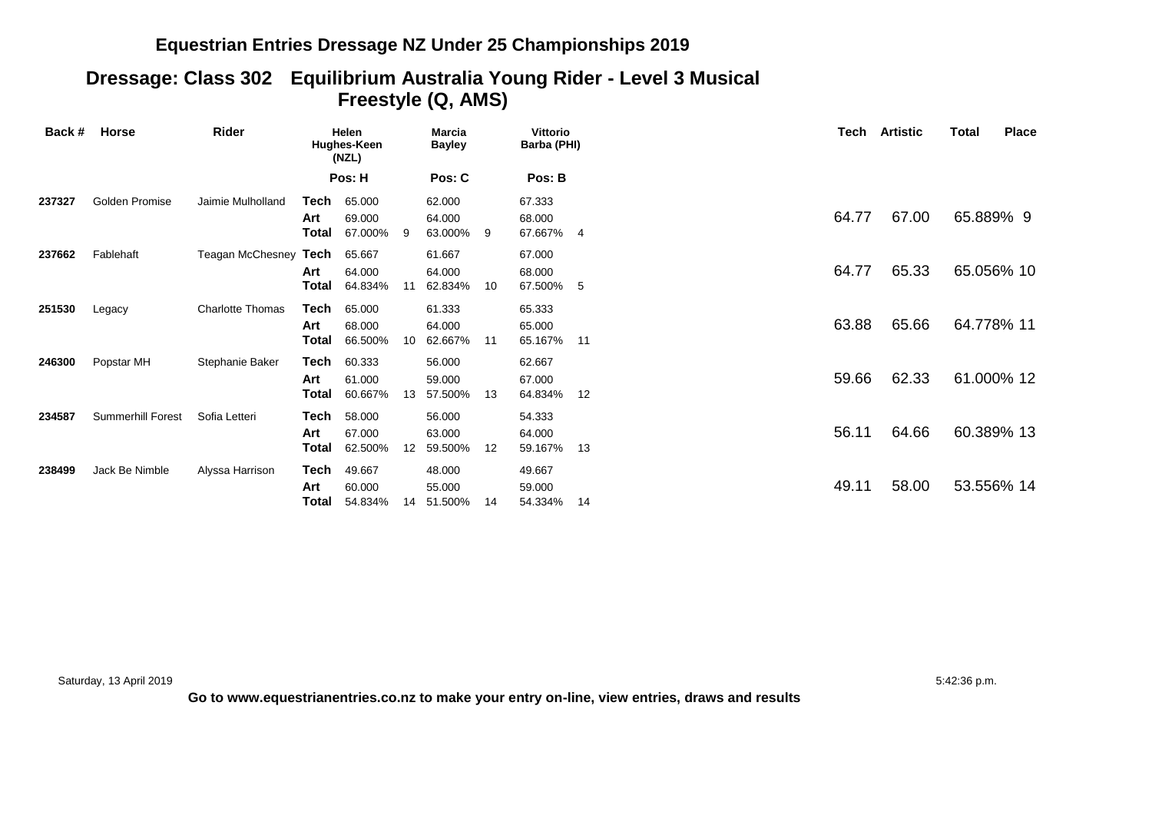#### **Equestrian Entries Dressage NZ Under 25 Championships 2019**

#### **Dressage: Class 302 Equilibrium Australia Young Rider - Level 3 Musical Freestyle (Q, AMS)**

| Back # | Horse             | Rider                   |                      | Helen<br>Hughes-Keen<br>(NZL) |                 | Marcia<br><b>Bayley</b>     |    | <b>Vittorio</b><br>Barba (PHI) |     | Tech  | Artistic | Total      | <b>Place</b> |
|--------|-------------------|-------------------------|----------------------|-------------------------------|-----------------|-----------------------------|----|--------------------------------|-----|-------|----------|------------|--------------|
|        |                   |                         |                      | Pos: H                        |                 | Pos: C                      |    | Pos: B                         |     |       |          |            |              |
| 237327 | Golden Promise    | Jaimie Mulholland       | Tech<br>Art<br>Total | 65.000<br>69.000<br>67.000% 9 |                 | 62.000<br>64.000<br>63.000% | -9 | 67.333<br>68.000<br>67.667% 4  |     | 64.77 | 67.00    | 65.889% 9  |              |
| 237662 | Fablehaft         | Teagan McChesney Tech   | Art<br>Total         | 65.667<br>64.000<br>64.834%   | 11              | 61.667<br>64.000<br>62.834% | 10 | 67.000<br>68.000<br>67.500% 5  |     | 64.77 | 65.33    | 65.056% 10 |              |
| 251530 | Legacy            | <b>Charlotte Thomas</b> | Tech<br>Art<br>Total | 65.000<br>68.000<br>66.500%   | 10 <sup>1</sup> | 61.333<br>64.000<br>62.667% | 11 | 65.333<br>65.000<br>65.167%    | 11  | 63.88 | 65.66    | 64.778% 11 |              |
| 246300 | Popstar MH        | Stephanie Baker         | Tech<br>Art<br>Total | 60.333<br>61.000<br>60.667%   | 13              | 56.000<br>59.000<br>57.500% | 13 | 62.667<br>67.000<br>64.834%    | 12  | 59.66 | 62.33    | 61.000% 12 |              |
| 234587 | Summerhill Forest | Sofia Letteri           | Tech<br>Art<br>Total | 58.000<br>67.000<br>62.500%   | 12              | 56.000<br>63.000<br>59.500% | 12 | 54.333<br>64.000<br>59.167%    | -13 | 56.11 | 64.66    | 60.389% 13 |              |
| 238499 | Jack Be Nimble    | Alyssa Harrison         | Tech<br>Art<br>Total | 49.667<br>60.000<br>54.834%   | 14              | 48.000<br>55.000<br>51.500% | 14 | 49.667<br>59.000<br>54.334%    | 14  | 49.11 | 58.00    | 53.556% 14 |              |

Saturday, 13 April 2019 5:42:36 p.m.

**Go to www.equestrianentries.co.nz to make your entry on-line, view entries, draws and results**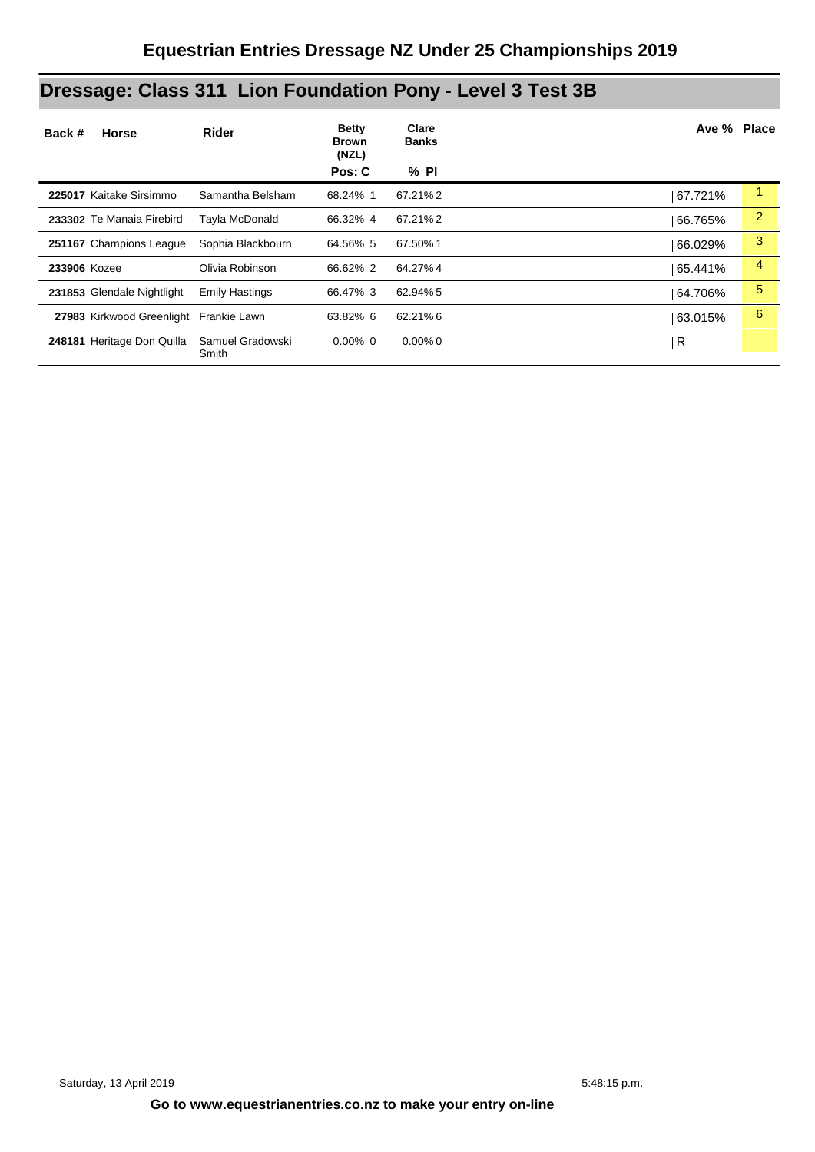# **Dressage: Class 311 Lion Foundation Pony - Level 3 Test 3B**

| Back #<br><b>Horse</b>                 | Rider                     | <b>Betty</b><br><b>Brown</b><br>(NZL)<br>Pos: C | Clare<br><b>Banks</b><br>% PI | Ave % Place |                |
|----------------------------------------|---------------------------|-------------------------------------------------|-------------------------------|-------------|----------------|
| 225017 Kaitake Sirsimmo                | Samantha Belsham          | 68.24% 1                                        | 67.21% 2                      | 67.721%     | 1              |
| 233302 Te Manaia Firebird              | Tayla McDonald            | 66.32% 4                                        | 67.21%2                       | 66.765%     | $\overline{2}$ |
| 251167 Champions League                | Sophia Blackbourn         | 64.56% 5                                        | 67.50%1                       | 66.029%     | 3              |
| 233906 Kozee                           | Olivia Robinson           | 66.62% 2                                        | 64.27% 4                      | 65.441%     | 4              |
| 231853 Glendale Nightlight             | <b>Emily Hastings</b>     | 66.47% 3                                        | 62.94% 5                      | 64.706%     | 5              |
| 27983 Kirkwood Greenlight Frankie Lawn |                           | 63.82% 6                                        | 62.21%6                       | 63.015%     | 6              |
| 248181 Heritage Don Quilla             | Samuel Gradowski<br>Smith | $0.00\%$ 0                                      | $0.00\%$ 0                    | R           |                |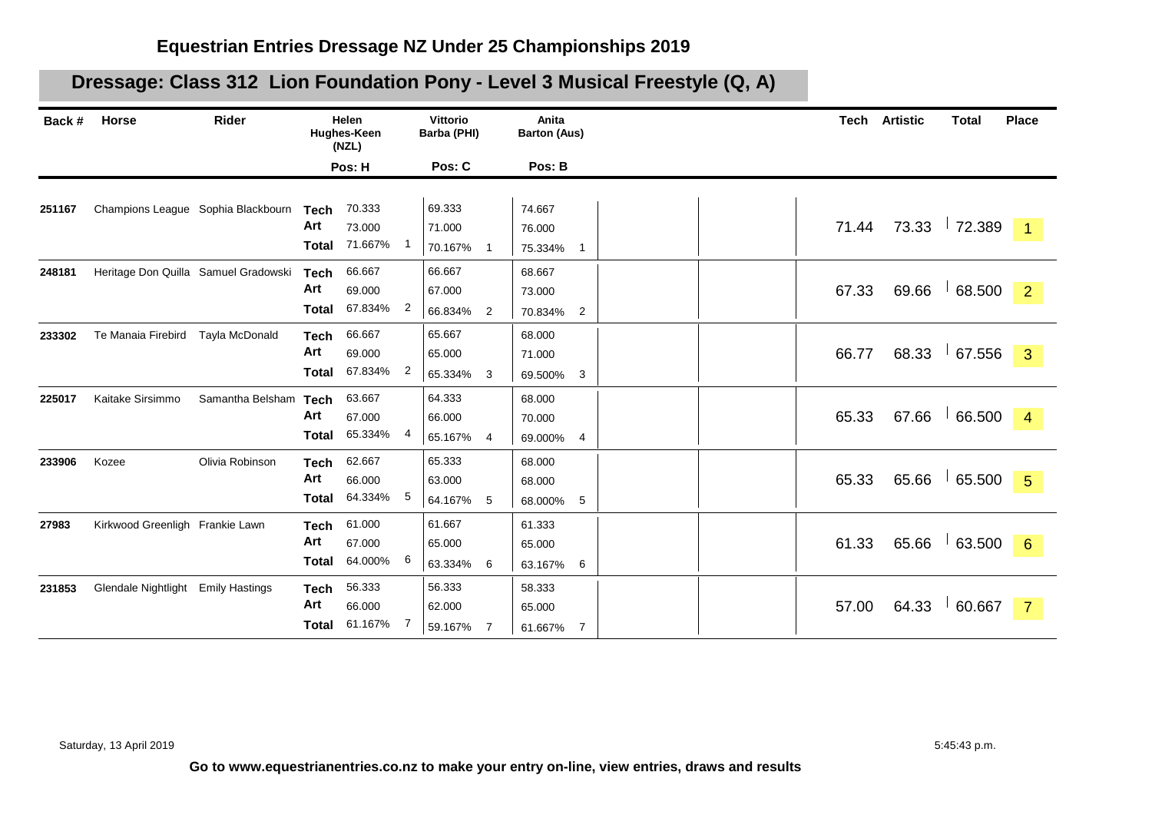## **Dressage: Class 312 Lion Foundation Pony - Level 3 Musical Freestyle (Q, A)**

| Back # | Horse                              | Rider                                |                                    | Helen<br>Hughes-Keen<br>(NZL) |                | Vittorio<br>Barba (PHI)     |                | Anita<br><b>Barton (Aus)</b>                  |       | <b>Tech Artistic</b> | <b>Total</b>   | <b>Place</b>    |
|--------|------------------------------------|--------------------------------------|------------------------------------|-------------------------------|----------------|-----------------------------|----------------|-----------------------------------------------|-------|----------------------|----------------|-----------------|
|        |                                    |                                      |                                    | Pos: H                        |                | Pos: C                      |                | Pos: B                                        |       |                      |                |                 |
| 251167 |                                    | Champions League Sophia Blackbourn   | <b>Tech</b><br>Art<br><b>Total</b> | 70.333<br>73.000<br>71.667%   |                | 69.333<br>71.000<br>70.167% | $\mathbf 1$    | 74.667<br>76.000<br>75.334%<br>$\overline{1}$ | 71.44 |                      | 73.33 72.389   | $\vert$ 1       |
| 248181 |                                    | Heritage Don Quilla Samuel Gradowski | <b>Tech</b><br>Art<br><b>Total</b> | 66.667<br>69.000<br>67.834%   | $\overline{2}$ | 66.667<br>67.000<br>66.834% | $\overline{2}$ | 68.667<br>73.000<br>70.834%<br>$\overline{2}$ | 67.33 | 69.66                | 68.500         | $\overline{2}$  |
| 233302 | Te Manaia Firebird                 | Tayla McDonald                       | <b>Tech</b><br>Art<br><b>Total</b> | 66.667<br>69.000<br>67.834%   | 2              | 65.667<br>65.000<br>65.334% | 3              | 68.000<br>71.000<br>69.500% 3                 | 66.77 | 68.33                | 67.556         | $\mathbf{3}$    |
| 225017 | Kaitake Sirsimmo                   | Samantha Belsham                     | <b>Tech</b><br>Art<br><b>Total</b> | 63.667<br>67.000<br>65.334%   | 4              | 64.333<br>66.000<br>65.167% | 4              | 68.000<br>70.000<br>69.000%<br>4              | 65.33 | 67.66                | 66.500         | $\overline{4}$  |
| 233906 | Kozee                              | Olivia Robinson                      | <b>Tech</b><br>Art<br><b>Total</b> | 62.667<br>66.000<br>64.334%   | 5              | 65.333<br>63.000<br>64.167% | 5              | 68.000<br>68.000<br>68.000% 5                 | 65.33 | 65.66                | 65.500         | $\sqrt{5}$      |
| 27983  | Kirkwood Greenligh Frankie Lawn    |                                      | <b>Tech</b><br>Art<br><b>Total</b> | 61.000<br>67.000<br>64.000%   | 6              | 61.667<br>65.000<br>63.334% | 6              | 61.333<br>65.000<br>63.167%<br>6              | 61.33 |                      | $65.66$ 63.500 | $6\overline{6}$ |
| 231853 | Glendale Nightlight Emily Hastings |                                      | <b>Tech</b><br>Art<br>Total        | 56.333<br>66.000<br>61.167%   | 7              | 56.333<br>62.000<br>59.167% | 7              | 58.333<br>65.000<br>61.667%<br>$\overline{7}$ | 57.00 | 64.33                | 60.667         | $\overline{7}$  |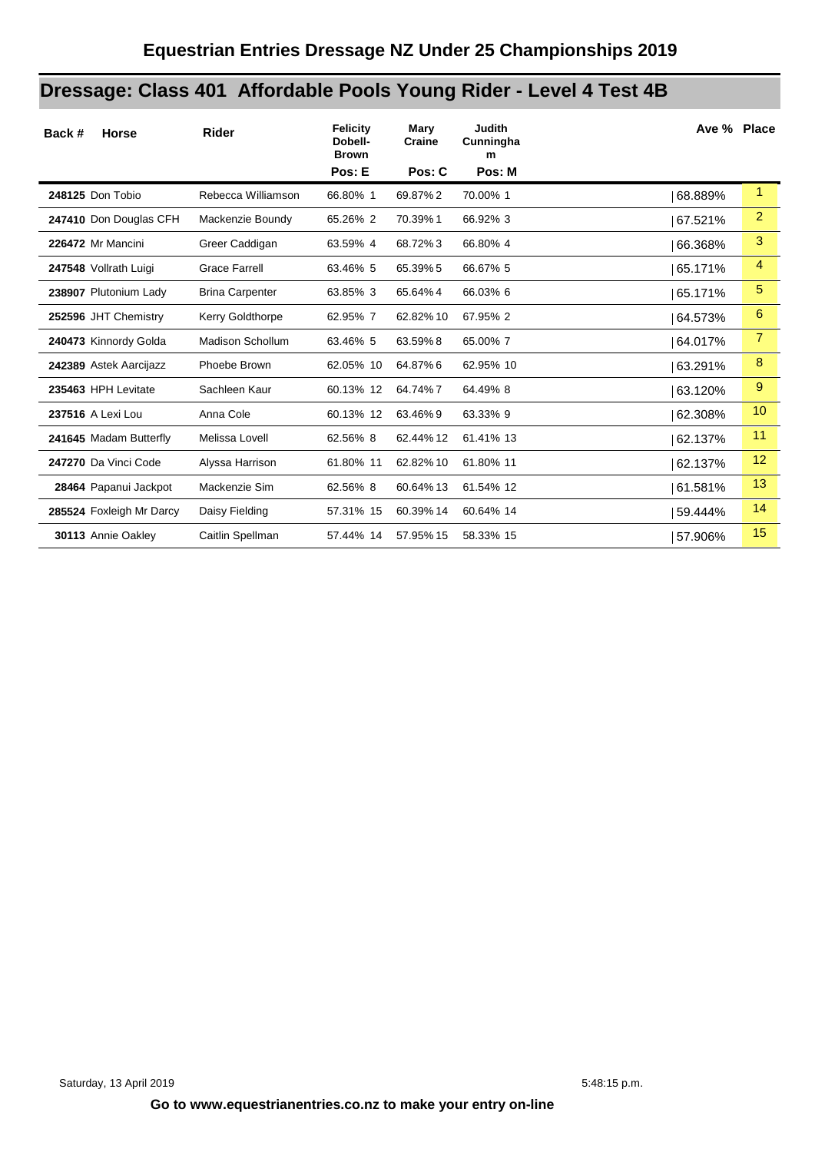# **Dressage: Class 401 Affordable Pools Young Rider - Level 4 Test 4B**

| Back #<br><b>Horse</b>   | Rider                   | <b>Felicity</b><br>Dobell-<br><b>Brown</b> | Mary<br>Craine | <b>Judith</b><br>Cunningha<br>m | Ave % Place |                |
|--------------------------|-------------------------|--------------------------------------------|----------------|---------------------------------|-------------|----------------|
|                          |                         | Pos: E                                     | Pos: C         | Pos: M                          |             |                |
| 248125 Don Tobio         | Rebecca Williamson      | 66.80% 1                                   | 69.87%2        | 70.00% 1                        | 68.889%     | 1              |
| 247410 Don Douglas CFH   | Mackenzie Boundy        | 65.26% 2                                   | 70.39%1        | 66.92% 3                        | 67.521%     | $\overline{2}$ |
| 226472 Mr Mancini        | Greer Caddigan          | 63.59% 4                                   | 68.72%3        | 66.80% 4                        | 66.368%     | 3              |
| 247548 Vollrath Luigi    | <b>Grace Farrell</b>    | 63.46% 5                                   | 65.39% 5       | 66.67% 5                        | 65.171%     | 4              |
| 238907 Plutonium Lady    | <b>Brina Carpenter</b>  | 63.85% 3                                   | 65.64%4        | 66.03% 6                        | 65.171%     | $\sqrt{5}$     |
| 252596 JHT Chemistry     | Kerry Goldthorpe        | 62.95% 7                                   | 62.82% 10      | 67.95% 2                        | 64.573%     | 6              |
| 240473 Kinnordy Golda    | <b>Madison Schollum</b> | 63.46% 5                                   | 63.59%8        | 65.00%7                         | 64.017%     | $\overline{7}$ |
| 242389 Astek Aarcijazz   | Phoebe Brown            | 62.05% 10                                  | 64.87%6        | 62.95% 10                       | 63.291%     | 8              |
| 235463 HPH Levitate      | Sachleen Kaur           | 60.13% 12                                  | 64.74%7        | 64.49% 8                        | 63.120%     | 9              |
| 237516 A Lexi Lou        | Anna Cole               | 60.13% 12                                  | 63.46%9        | 63.33% 9                        | 62.308%     | 10             |
| 241645 Madam Butterfly   | Melissa Lovell          | 62.56% 8                                   | 62.44% 12      | 61.41% 13                       | 62.137%     | 11             |
| 247270 Da Vinci Code     | Alyssa Harrison         | 61.80% 11                                  | 62.82% 10      | 61.80% 11                       | 62.137%     | 12             |
| 28464 Papanui Jackpot    | Mackenzie Sim           | 62.56% 8                                   | 60.64% 13      | 61.54% 12                       | 61.581%     | 13             |
| 285524 Foxleigh Mr Darcy | Daisy Fielding          | 57.31% 15                                  | 60.39% 14      | 60.64% 14                       | 59.444%     | 14             |
| 30113 Annie Oakley       | Caitlin Spellman        | 57.44% 14                                  | 57.95% 15      | 58.33% 15                       | 57.906%     | 15             |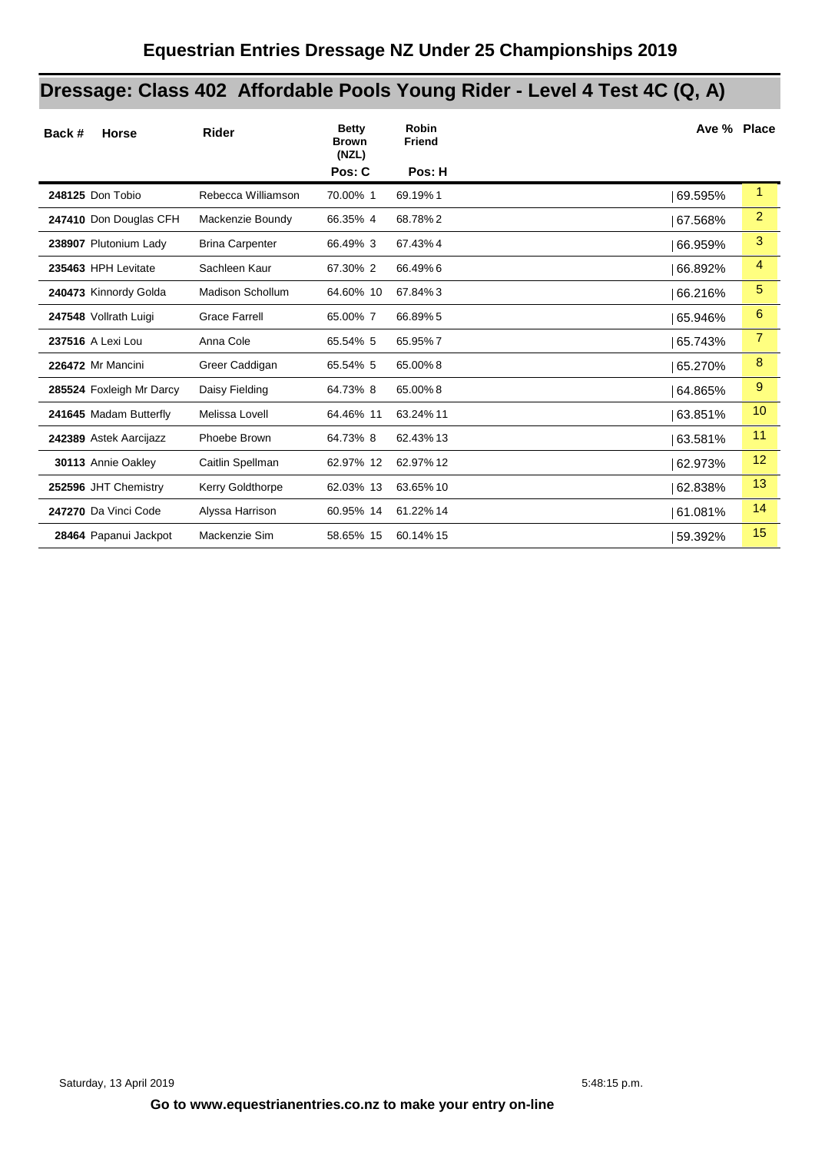# **Dressage: Class 402 Affordable Pools Young Rider - Level 4 Test 4C (Q, A)**

| Back #<br><b>Horse</b>   | Rider                   | <b>Betty</b><br><b>Brown</b><br>(NZL) | <b>Robin</b><br><b>Friend</b> |         | Ave % Place    |
|--------------------------|-------------------------|---------------------------------------|-------------------------------|---------|----------------|
|                          |                         | Pos: C                                | Pos: H                        |         |                |
| 248125 Don Tobio         | Rebecca Williamson      | 70.00% 1                              | 69.19%1                       | 69.595% | $\mathbf{1}$   |
| 247410 Don Douglas CFH   | Mackenzie Boundy        | 66.35% 4                              | 68.78%2                       | 67.568% | $\overline{2}$ |
| 238907 Plutonium Lady    | <b>Brina Carpenter</b>  | 66.49% 3                              | 67.43%4                       | 66.959% | 3              |
| 235463 HPH Levitate      | Sachleen Kaur           | 67.30% 2                              | 66.49%6                       | 66.892% | 4              |
| 240473 Kinnordy Golda    | <b>Madison Schollum</b> | 64.60% 10                             | 67.84%3                       | 66.216% | 5              |
| 247548 Vollrath Luigi    | <b>Grace Farrell</b>    | 65.00% 7                              | 66.89% 5                      | 65.946% | 6              |
| 237516 A Lexi Lou        | Anna Cole               | 65.54% 5                              | 65.95%7                       | 65.743% | 7              |
| 226472 Mr Mancini        | Greer Caddigan          | 65.54% 5                              | 65.00%8                       | 65.270% | 8              |
| 285524 Foxleigh Mr Darcy | Daisy Fielding          | 64.73% 8                              | 65.00%8                       | 64.865% | 9              |
| 241645 Madam Butterfly   | Melissa Lovell          | 64.46% 11                             | 63.24% 11                     | 63.851% | 10             |
| 242389 Astek Aarcijazz   | Phoebe Brown            | 64.73% 8                              | 62.43% 13                     | 63.581% | 11             |
| 30113 Annie Oakley       | Caitlin Spellman        | 62.97% 12                             | 62.97% 12                     | 62.973% | 12             |
| 252596 JHT Chemistry     | Kerry Goldthorpe        | 62.03% 13                             | 63.65% 10                     | 62.838% | 13             |
| 247270 Da Vinci Code     | Alyssa Harrison         | 60.95% 14                             | 61.22% 14                     | 61.081% | 14             |
| 28464 Papanui Jackpot    | Mackenzie Sim           | 58.65% 15                             | 60.14% 15                     | 59.392% | 15             |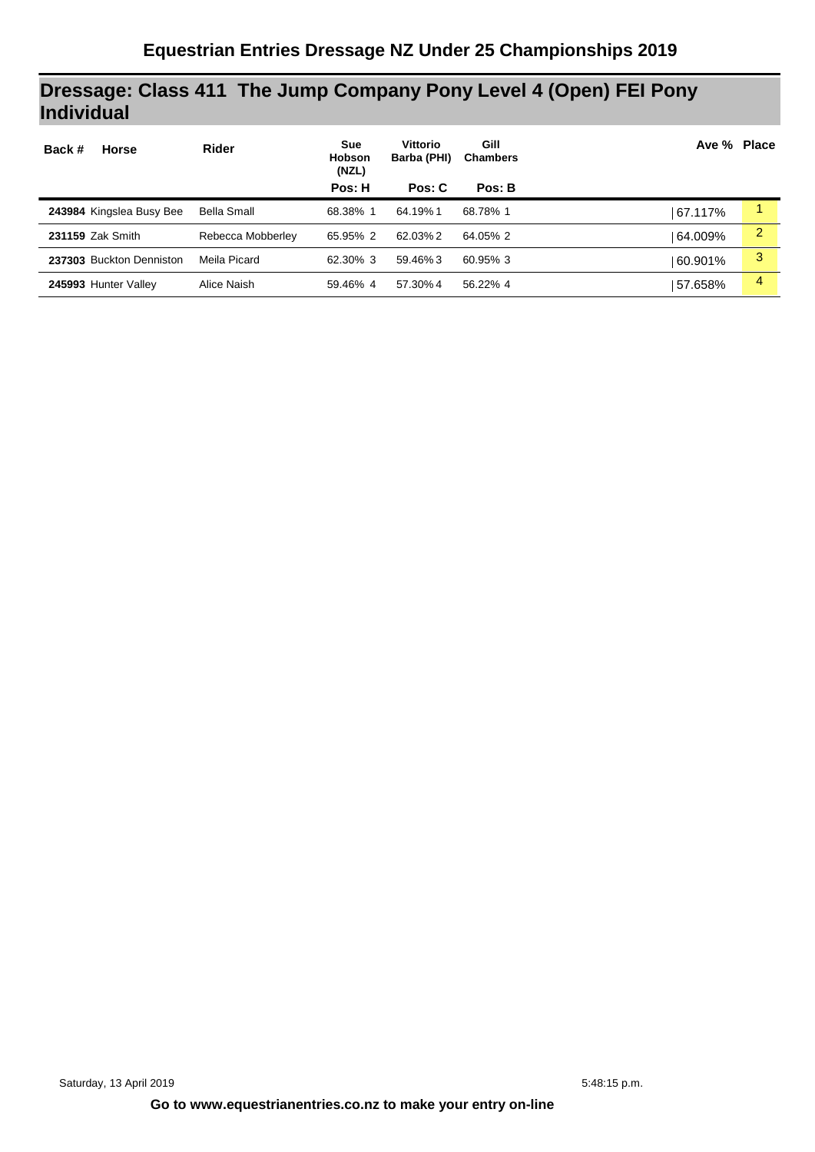## **Dressage: Class 411 The Jump Company Pony Level 4 (Open) FEI Pony Individual**

| <b>Horse</b><br>Back #   | <b>Rider</b>       | <b>Sue</b><br><b>Hobson</b><br>(NZL) | Vittorio<br>Barba (PHI) | Gill<br><b>Chambers</b> | Ave % Place |                |
|--------------------------|--------------------|--------------------------------------|-------------------------|-------------------------|-------------|----------------|
|                          |                    | Pos: H                               | Pos: C                  | Pos: B                  |             |                |
| 243984 Kingslea Busy Bee | <b>Bella Small</b> | 68.38% 1                             | 64.19%1                 | 68.78% 1                | 67.117%     |                |
| 231159 Zak Smith         | Rebecca Mobberley  | 65.95% 2                             | 62.03% 2                | 64.05% 2                | 64.009%     | $\overline{2}$ |
| 237303 Buckton Denniston | Meila Picard       | 62.30% 3                             | 59.46%3                 | 60.95% 3                | 60.901%     | 3              |
| 245993 Hunter Valley     | Alice Naish        | 59.46% 4                             | 57.30% 4                | 56.22% 4                | 57.658%     | 4              |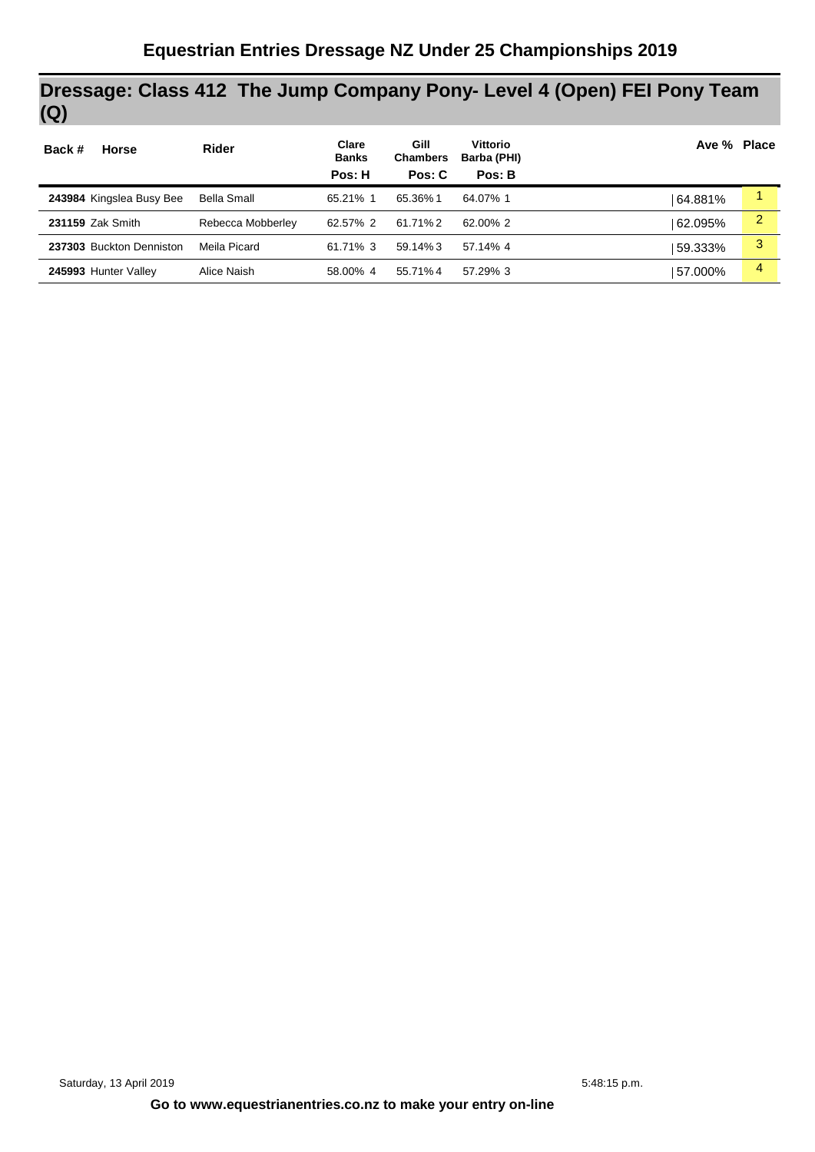## **Dressage: Class 412 The Jump Company Pony- Level 4 (Open) FEI Pony Team (Q)**

| <b>Horse</b><br>Back #   | Rider              | Clare<br><b>Banks</b> | Gill<br><b>Chambers</b> | <b>Vittorio</b><br>Barba (PHI) |         | Ave % Place    |
|--------------------------|--------------------|-----------------------|-------------------------|--------------------------------|---------|----------------|
|                          |                    | Pos: H                | Pos: C                  | Pos: B                         |         |                |
| 243984 Kingslea Busy Bee | <b>Bella Small</b> | 65.21% 1              | 65.36%1                 | 64.07% 1                       | 64.881% |                |
| 231159 Zak Smith         | Rebecca Mobberley  | 62.57% 2              | 61.71%2                 | 62.00% 2                       | 62.095% | $\overline{2}$ |
| 237303 Buckton Denniston | Meila Picard       | 61.71% 3              | $59.14\%3$              | 57.14% 4                       | 59.333% | 3              |
| 245993 Hunter Valley     | Alice Naish        | 58.00% 4              | 55.71%4                 | 57.29% 3                       | 57.000% | 4              |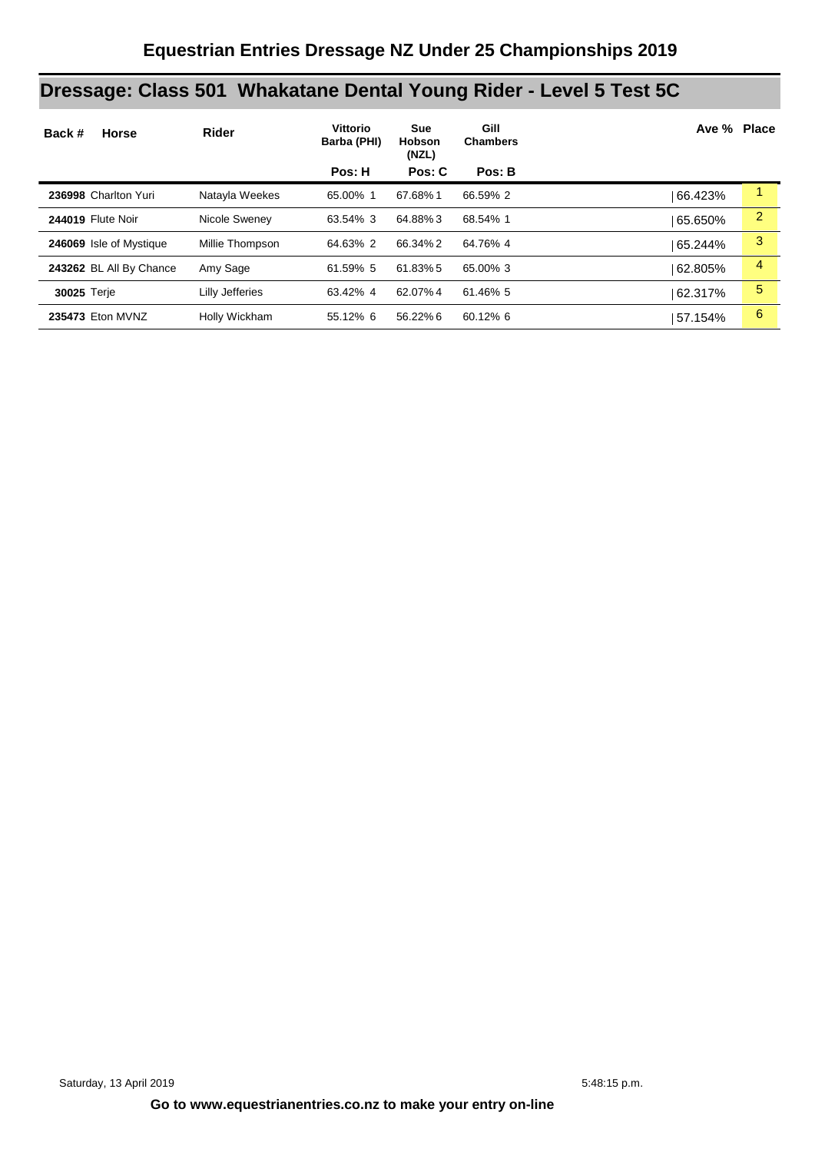# **Dressage: Class 501 Whakatane Dental Young Rider - Level 5 Test 5C**

| Back #<br><b>Horse</b>  | Rider           | Vittorio<br>Barba (PHI) | <b>Sue</b><br><b>Hobson</b><br>(NZL) | Gill<br><b>Chambers</b> | Ave % Place |   |
|-------------------------|-----------------|-------------------------|--------------------------------------|-------------------------|-------------|---|
|                         |                 | Pos: H                  | Pos: C                               | Pos: B                  |             |   |
| 236998 Charlton Yuri    | Natayla Weekes  | 65.00% 1                | 67.68%1                              | 66.59% 2                | 66.423%     |   |
| 244019 Flute Noir       | Nicole Sweney   | 63.54% 3                | 64.88%3                              | 68.54% 1                | 65.650%     | 2 |
| 246069 Isle of Mystique | Millie Thompson | 64.63% 2                | 66.34%2                              | 64.76% 4                | 65.244%     | 3 |
| 243262 BL All By Chance | Amy Sage        | 61.59% 5                | 61.83%5                              | 65.00% 3                | 62.805%     | 4 |
| <b>30025 Terje</b>      | Lilly Jefferies | 63.42% 4                | 62.07%4                              | 61.46% 5                | 62.317%     | 5 |
| 235473 Eton MVNZ        | Holly Wickham   | 55.12% 6                | 56.22%6                              | 60.12% 6                | 57.154%     | 6 |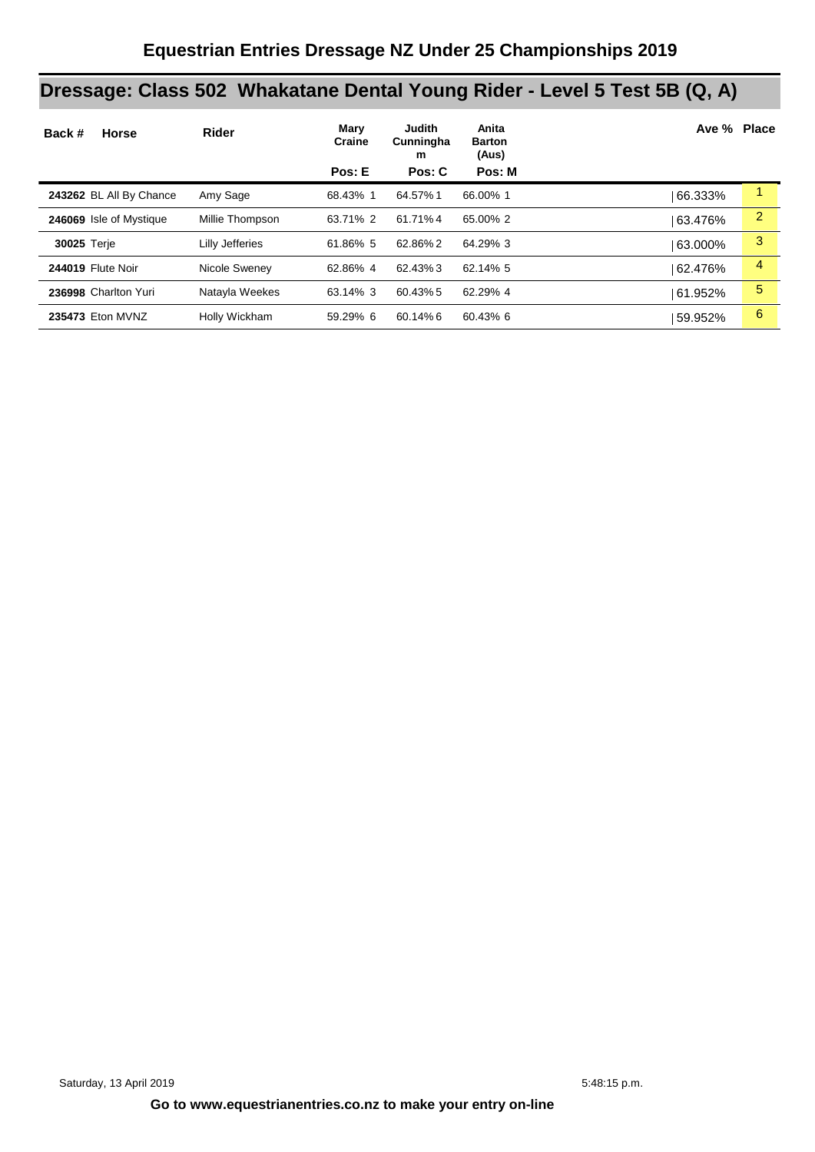# **Dressage: Class 502 Whakatane Dental Young Rider - Level 5 Test 5B (Q, A)**

| Back #<br><b>Horse</b>   | <b>Rider</b>    | Mary<br>Craine<br>Pos: E | <b>Judith</b><br>Cunningha<br>m<br>Pos: C | Anita<br><b>Barton</b><br>(Aus)<br>Pos: M | Ave % Place |                |
|--------------------------|-----------------|--------------------------|-------------------------------------------|-------------------------------------------|-------------|----------------|
|                          |                 |                          |                                           |                                           |             |                |
| 243262 BL All By Chance  | Amy Sage        | 68.43% 1                 | 64.57% 1                                  | 66.00% 1                                  | 66.333%     |                |
| 246069 Isle of Mystique  | Millie Thompson | 63.71% 2                 | 61.71%4                                   | 65.00% 2                                  | 63.476%     | $\overline{2}$ |
| 30025 Terje              | Lilly Jefferies | 61.86% 5                 | 62.86%2                                   | 64.29% 3                                  | 63.000%     | 3              |
| <b>244019 Flute Noir</b> | Nicole Sweney   | 62.86% 4                 | 62.43%3                                   | 62.14% 5                                  | 62.476%     | 4              |
| 236998 Charlton Yuri     | Natayla Weekes  | 63.14% 3                 | 60.43% 5                                  | 62.29% 4                                  | 61.952%     | 5              |
| 235473 Eton MVNZ         | Holly Wickham   | 59.29% 6                 | 60.14%6                                   | 60.43% 6                                  | 59.952%     | 6              |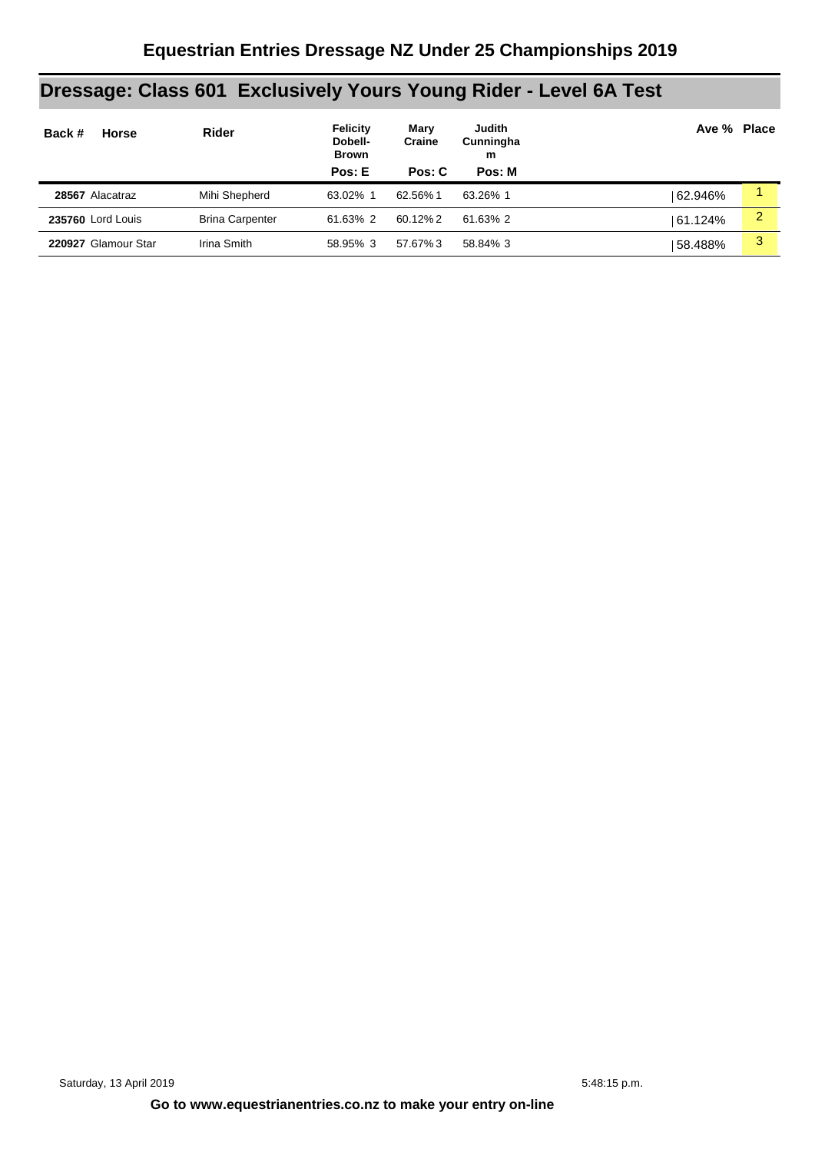# **Dressage: Class 601 Exclusively Yours Young Rider - Level 6A Test**

| Back #                   | <b>Horse</b>        | <b>Rider</b>           | Felicity<br>Dobell-<br><b>Brown</b> | Marv<br>Craine | Judith<br>Cunningha<br>m | Ave % Place |   |
|--------------------------|---------------------|------------------------|-------------------------------------|----------------|--------------------------|-------------|---|
|                          |                     |                        | Pos: E                              | Pos: C         | Pos: M                   |             |   |
| 28567 Alacatraz          |                     | Mihi Shepherd          | 63.02% 1                            | 62.56%1        | 63.26% 1                 | 62.946%     |   |
| <b>235760 Lord Louis</b> |                     | <b>Brina Carpenter</b> | 61.63% 2                            | 60.12% 2       | 61.63% 2                 | 61.124%     | 2 |
|                          | 220927 Glamour Star | Irina Smith            | 58.95% 3                            | 57.67%3        | 58.84% 3                 | 58.488%     | 3 |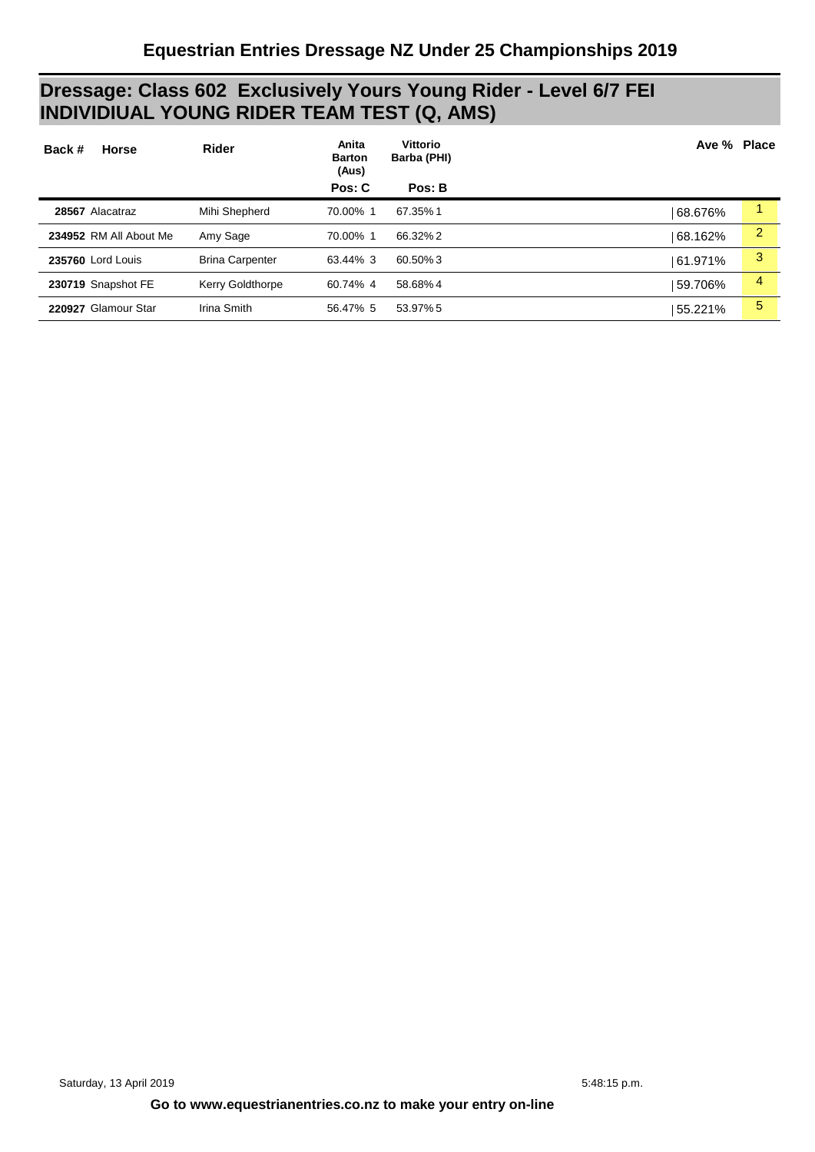### **Dressage: Class 602 Exclusively Yours Young Rider - Level 6/7 FEI INDIVIDIUAL YOUNG RIDER TEAM TEST (Q, AMS)**

| <b>Horse</b><br>Back # | <b>Rider</b>           | Anita<br><b>Barton</b><br>(Aus) | <b>Vittorio</b><br>Barba (PHI) | Ave % Place |   |
|------------------------|------------------------|---------------------------------|--------------------------------|-------------|---|
|                        |                        | Pos: C                          | Pos: B                         |             |   |
| 28567 Alacatraz        | Mihi Shepherd          | 70.00% 1                        | 67.35%1                        | 68.676%     | 1 |
| 234952 RM All About Me | Amy Sage               | 70.00% 1                        | 66.32% 2                       | 68.162%     | 2 |
| 235760 Lord Louis      | <b>Brina Carpenter</b> | 63.44% 3                        | 60.50%3                        | 61.971%     | 3 |
| 230719 Snapshot FE     | Kerry Goldthorpe       | 60.74% 4                        | 58.68%4                        | 59.706%     | 4 |
| 220927 Glamour Star    | Irina Smith            | 56.47% 5                        | 53.97% 5                       | 55.221%     | 5 |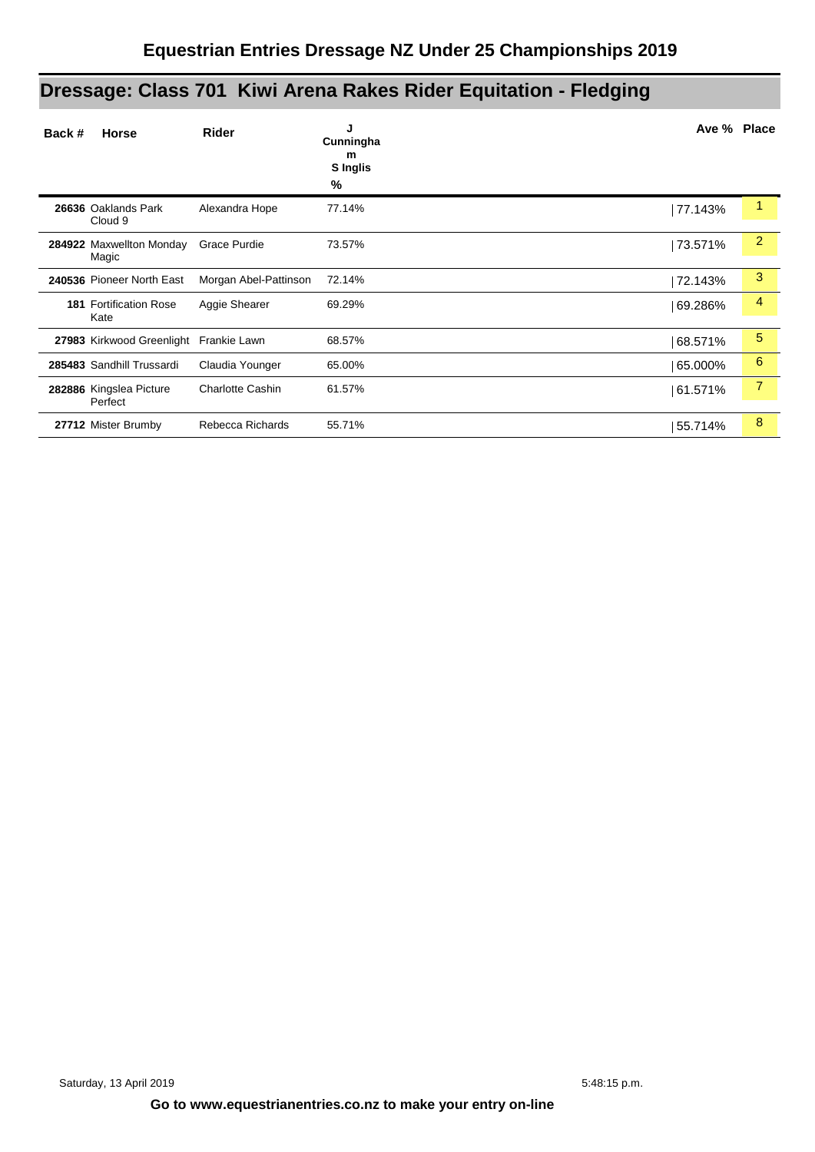# **Dressage: Class 701 Kiwi Arena Rakes Rider Equitation - Fledging**

| Back # | <b>Horse</b>                          | <b>Rider</b>            | J<br>Cunningha<br>m<br><b>S</b> Inglis<br>% | Ave % Place |                |
|--------|---------------------------------------|-------------------------|---------------------------------------------|-------------|----------------|
|        | 26636 Oaklands Park<br>Cloud 9        | Alexandra Hope          | 77.14%                                      | 77.143%     | 1              |
|        | 284922 Maxwellton Monday<br>Magic     | Grace Purdie            | 73.57%                                      | 73.571%     | $\overline{2}$ |
|        | 240536 Pioneer North East             | Morgan Abel-Pattinson   | 72.14%                                      | 72.143%     | 3              |
|        | <b>181 Fortification Rose</b><br>Kate | Aggie Shearer           | 69.29%                                      | 69.286%     | 4              |
|        | 27983 Kirkwood Greenlight             | Frankie Lawn            | 68.57%                                      | 68.571%     | $\sqrt{5}$     |
|        | 285483 Sandhill Trussardi             | Claudia Younger         | 65.00%                                      | 65.000%     | 6              |
|        | 282886 Kingslea Picture<br>Perfect    | <b>Charlotte Cashin</b> | 61.57%                                      | 61.571%     | $\overline{7}$ |
|        | 27712 Mister Brumby                   | Rebecca Richards        | 55.71%                                      | 55.714%     | 8              |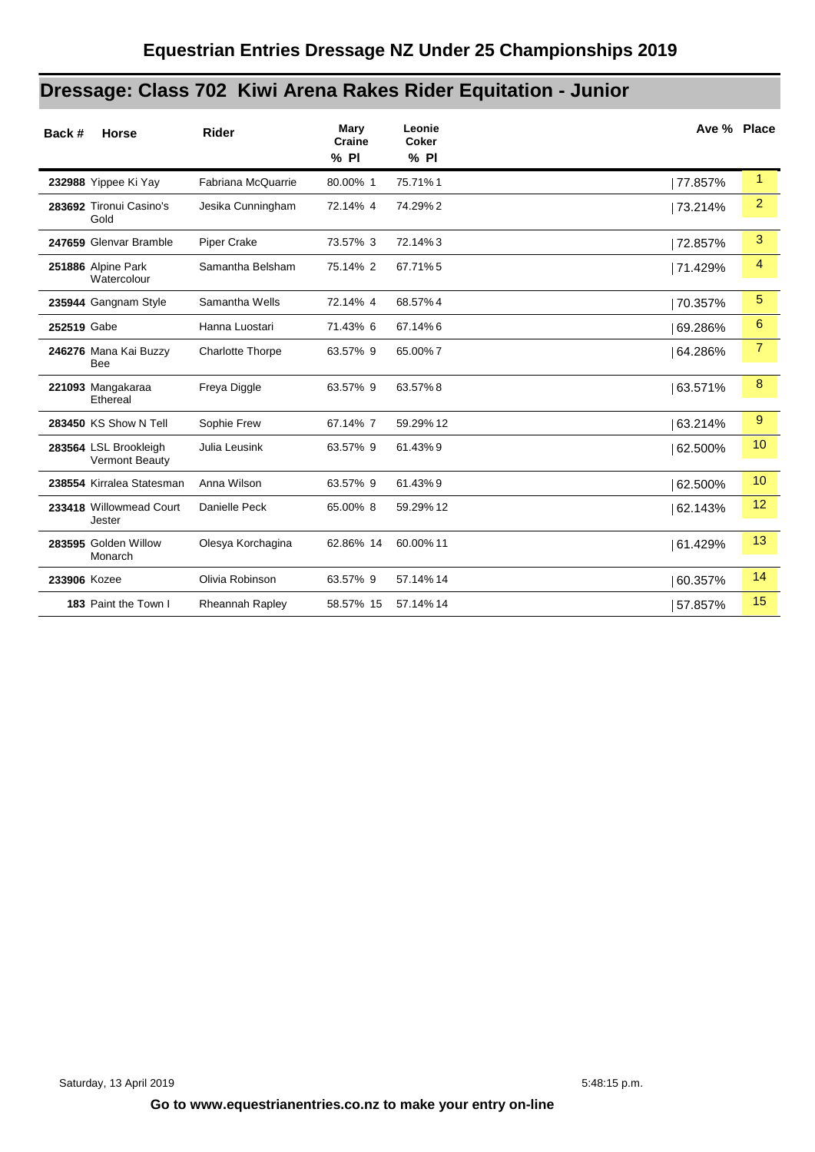# **Dressage: Class 702 Kiwi Arena Rakes Rider Equitation - Junior**

| Back #       | <b>Horse</b>                                   | <b>Rider</b>            | Mary<br>Craine<br>$%$ PI | Leonie<br><b>Coker</b><br>% PI | Ave % Place |                      |
|--------------|------------------------------------------------|-------------------------|--------------------------|--------------------------------|-------------|----------------------|
|              | 232988 Yippee Ki Yay                           | Fabriana McQuarrie      | 80.00% 1                 | 75.71%1                        | 77.857%     | $\blacktriangleleft$ |
|              | 283692 Tironui Casino's<br>Gold                | Jesika Cunningham       | 72.14% 4                 | 74.29%2                        | 73.214%     | $\overline{2}$       |
|              | 247659 Glenvar Bramble                         | <b>Piper Crake</b>      | 73.57% 3                 | 72.14%3                        | 72.857%     | 3                    |
|              | 251886 Alpine Park<br>Watercolour              | Samantha Belsham        | 75.14% 2                 | 67.71%5                        | 71.429%     | 4                    |
|              | 235944 Gangnam Style                           | Samantha Wells          | 72.14% 4                 | 68.57%4                        | 70.357%     | 5                    |
| 252519 Gabe  |                                                | Hanna Luostari          | 71.43% 6                 | 67.14%6                        | 69.286%     | 6                    |
|              | 246276 Mana Kai Buzzy<br>Bee                   | <b>Charlotte Thorpe</b> | 63.57% 9                 | 65.00%7                        | 64.286%     | 7                    |
|              | 221093 Mangakaraa<br>Ethereal                  | Freya Diggle            | 63.57% 9                 | 63.57%8                        | 63.571%     | 8                    |
|              | 283450 KS Show N Tell                          | Sophie Frew             | 67.14% 7                 | 59.29% 12                      | 63.214%     | 9                    |
|              | 283564 LSL Brookleigh<br><b>Vermont Beauty</b> | Julia Leusink           | 63.57% 9                 | 61.43%9                        | 62.500%     | 10                   |
|              | 238554 Kirralea Statesman                      | Anna Wilson             | 63.57% 9                 | 61.43%9                        | 62.500%     | 10                   |
|              | 233418 Willowmead Court<br>Jester              | Danielle Peck           | 65.00% 8                 | 59.29% 12                      | 62.143%     | 12                   |
|              | 283595 Golden Willow<br>Monarch                | Olesya Korchagina       | 62.86% 14                | 60.00% 11                      | 61.429%     | 13                   |
| 233906 Kozee |                                                | Olivia Robinson         | 63.57% 9                 | 57.14% 14                      | 60.357%     | 14                   |
|              | 183 Paint the Town I                           | Rheannah Rapley         | 58.57% 15                | 57.14% 14                      | 57.857%     | 15                   |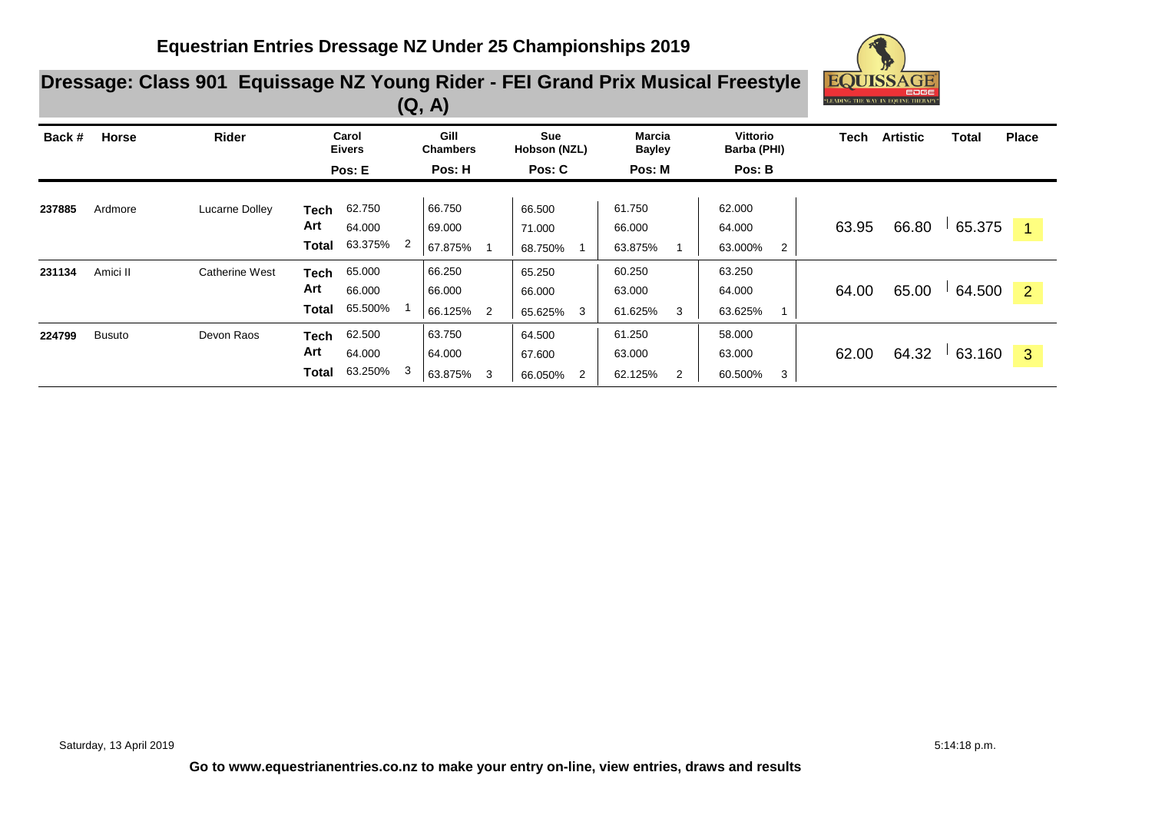

### **Dressage: Class 901 Equissage NZ Young Rider - FEI Grand Prix Musical Freestyle (Q, A)**

| Back # | <b>Horse</b>  | <b>Rider</b>          | Carol<br><b>Eivers</b>                                     | Gill<br><b>Chambers</b>               | <b>Sue</b><br>Hobson (NZL)       | Marcia<br><b>Bayley</b>          | Vittorio<br>Barba (PHI)                       | Tech  | <b>Artistic</b> | Total  | <b>Place</b> |
|--------|---------------|-----------------------|------------------------------------------------------------|---------------------------------------|----------------------------------|----------------------------------|-----------------------------------------------|-------|-----------------|--------|--------------|
|        |               |                       | Pos: E                                                     | Pos: H                                | Pos: C                           | Pos: M                           | Pos: B                                        |       |                 |        |              |
| 237885 | Ardmore       | Lucarne Dolley        | 62.750<br><b>Tech</b><br>Art<br>64.000<br>63.375%<br>Total | 66.750<br>69.000<br>2<br>67.875%      | 66.500<br>71.000<br>68.750%      | 61.750<br>66.000<br>63.875%      | 62.000<br>64.000<br>63.000%<br>$\overline{2}$ | 63.95 | 66.80           | 65.375 | -1           |
| 231134 | Amici II      | <b>Catherine West</b> | 65.000<br>Tech<br>Art<br>66.000<br>65.500%<br>Total        | 66.250<br>66.000<br>66.125%<br>2      | 65.250<br>66.000<br>65.625%<br>3 | 60.250<br>63.000<br>61.625%<br>3 | 63.250<br>64.000<br>63.625%                   | 64.00 | 65.00           | 64.500 | 2            |
| 224799 | <b>Busuto</b> | Devon Raos            | 62.500<br><b>Tech</b><br>Art<br>64.000<br>63.250%<br>Total | 63.750<br>64.000<br>3<br>63.875%<br>3 | 64.500<br>67.600<br>66.050%<br>2 | 61.250<br>63.000<br>62.125%<br>2 | 58.000<br>63.000<br>60.500%<br>3              | 62.00 | 64.32           | 63.160 | 3            |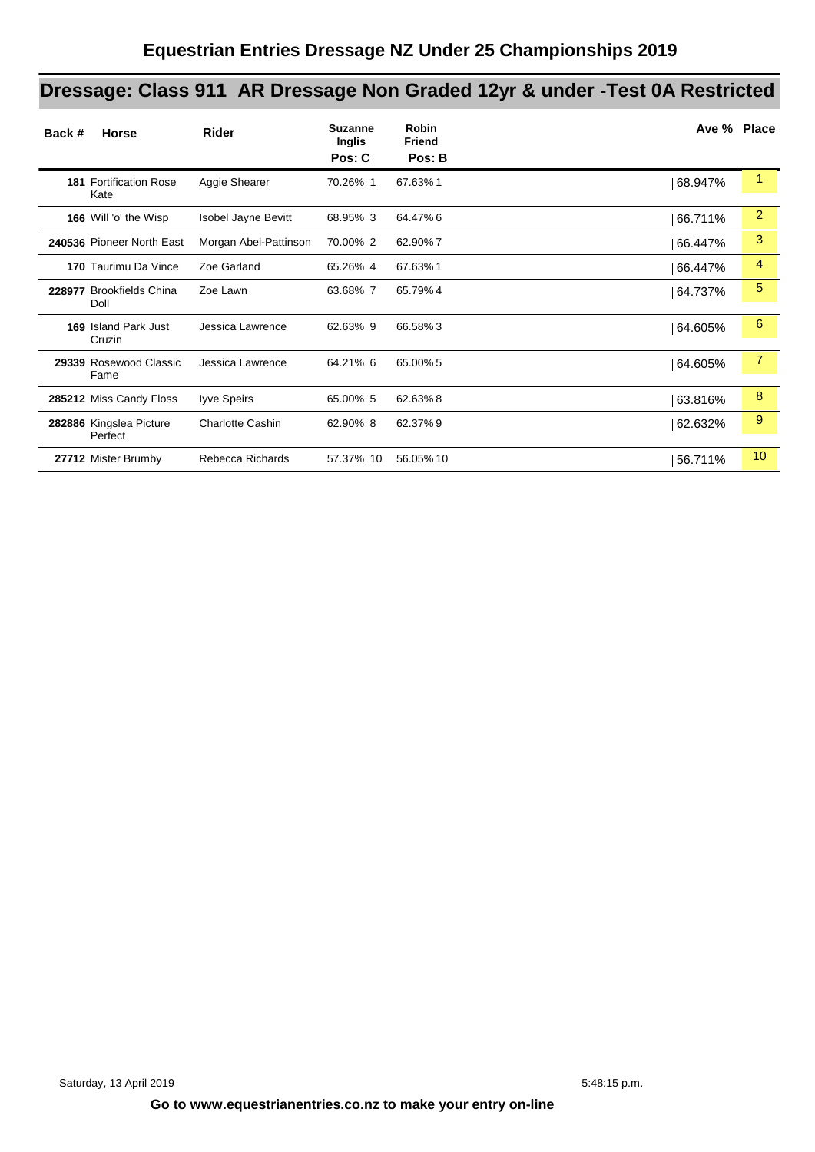# **Dressage: Class 911 AR Dressage Non Graded 12yr & under -Test 0A Restricted**

| Back # | Horse                                 | Rider                   | <b>Suzanne</b><br><b>Inglis</b><br>Pos: C | <b>Robin</b><br><b>Friend</b><br>Pos: B | Ave % Place |                |
|--------|---------------------------------------|-------------------------|-------------------------------------------|-----------------------------------------|-------------|----------------|
|        | <b>181 Fortification Rose</b><br>Kate | Aggie Shearer           | 70.26% 1                                  | 67.63%1                                 | 68.947%     | 1              |
|        | 166 Will 'o' the Wisp                 | Isobel Jayne Bevitt     | 68.95% 3                                  | 64.47%6                                 | 66.711%     | $\overline{2}$ |
|        | 240536 Pioneer North East             | Morgan Abel-Pattinson   | 70.00% 2                                  | 62.90%7                                 | 66.447%     | 3              |
|        | 170 Taurimu Da Vince                  | Zoe Garland             | 65.26% 4                                  | 67.63%1                                 | 66.447%     | 4              |
|        | 228977 Brookfields China<br>Doll      | Zoe Lawn                | 63.68% 7                                  | 65.79%4                                 | 64.737%     | 5              |
|        | <b>169 Island Park Just</b><br>Cruzin | Jessica Lawrence        | 62.63% 9                                  | 66.58%3                                 | 64.605%     | 6              |
|        | 29339 Rosewood Classic<br>Fame        | Jessica Lawrence        | 64.21% 6                                  | 65.00% 5                                | 64.605%     | $\overline{7}$ |
|        | 285212 Miss Candy Floss               | lyve Speirs             | 65.00% 5                                  | 62.63%8                                 | 63.816%     | 8              |
|        | 282886 Kingslea Picture<br>Perfect    | <b>Charlotte Cashin</b> | 62.90% 8                                  | 62.37% 9                                | 62.632%     | 9              |
|        | 27712 Mister Brumby                   | Rebecca Richards        | 57.37% 10                                 | 56.05% 10                               | 56.711%     | 10             |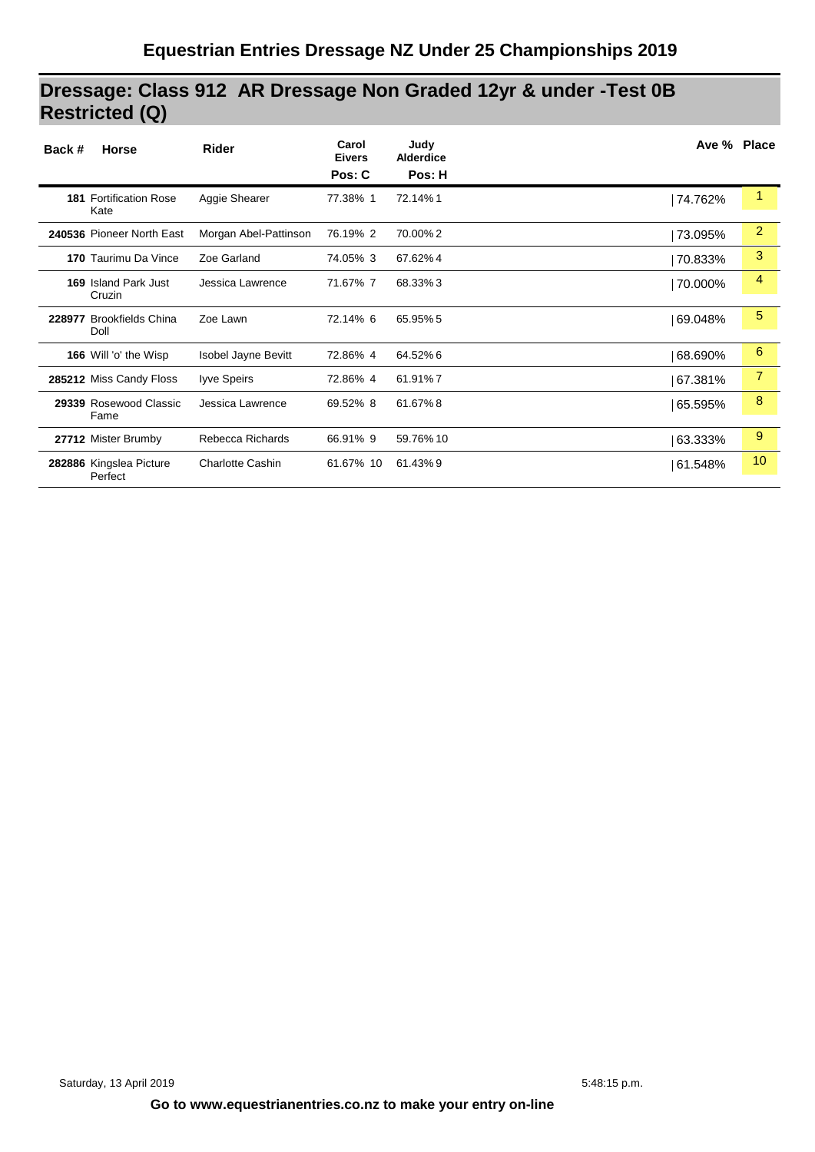### **Dressage: Class 912 AR Dressage Non Graded 12yr & under -Test 0B Restricted (Q)**

| Back # | <b>Horse</b>                          | <b>Rider</b>            | Carol<br><b>Eivers</b><br>Pos: C | Judy<br><b>Alderdice</b><br>Pos: H |         | Ave % Place    |
|--------|---------------------------------------|-------------------------|----------------------------------|------------------------------------|---------|----------------|
|        | <b>181 Fortification Rose</b><br>Kate | Aggie Shearer           | 77.38% 1                         | 72.14%1                            | 74.762% | 1              |
|        | 240536 Pioneer North East             | Morgan Abel-Pattinson   | 76.19% 2                         | 70.00%2                            | 73.095% | 2              |
|        | 170 Taurimu Da Vince                  | Zoe Garland             | 74.05% 3                         | 67.62%4                            | 70.833% | 3              |
|        | 169 Island Park Just<br>Cruzin        | Jessica Lawrence        | 71.67% 7                         | 68.33%3                            | 70.000% | 4              |
|        | 228977 Brookfields China<br>Doll      | Zoe Lawn                | 72.14% 6                         | 65.95% 5                           | 69.048% | 5              |
|        | 166 Will 'o' the Wisp                 | Isobel Jayne Bevitt     | 72.86% 4                         | 64.52%6                            | 68.690% | 6              |
|        | 285212 Miss Candy Floss               | Iyve Speirs             | 72.86% 4                         | 61.91%7                            | 67.381% | $\overline{7}$ |
|        | 29339 Rosewood Classic<br>Fame        | Jessica Lawrence        | 69.52% 8                         | 61.67%8                            | 65.595% | 8              |
|        | 27712 Mister Brumby                   | Rebecca Richards        | 66.91% 9                         | 59.76% 10                          | 63.333% | 9              |
|        | 282886 Kingslea Picture<br>Perfect    | <b>Charlotte Cashin</b> | 61.67% 10                        | 61.43%9                            | 61.548% | 10             |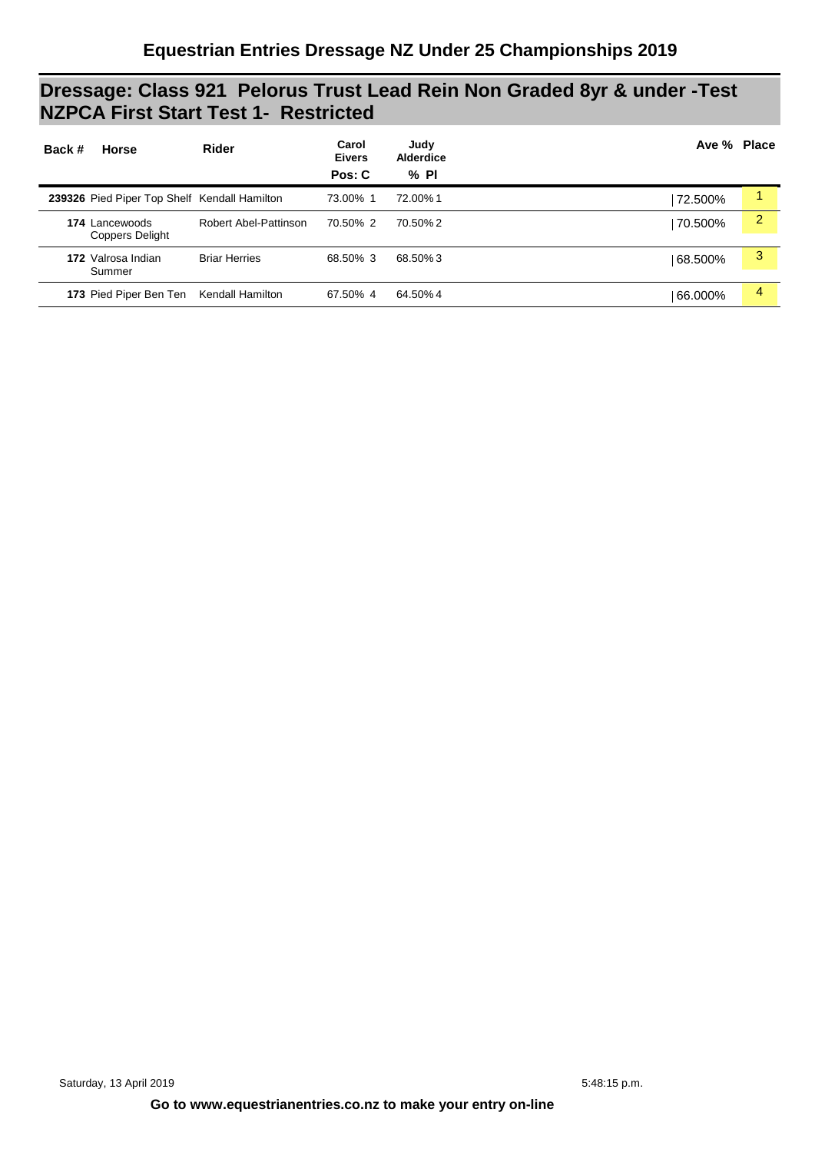### **Dressage: Class 921 Pelorus Trust Lead Rein Non Graded 8yr & under -Test NZPCA First Start Test 1- Restricted**

| Back # | <b>Horse</b>                                 | <b>Rider</b>          | Carol<br><b>Eivers</b><br>Pos: C | Judy<br><b>Alderdice</b><br>$%$ PI | Ave % Place |   |
|--------|----------------------------------------------|-----------------------|----------------------------------|------------------------------------|-------------|---|
|        | 239326 Pied Piper Top Shelf Kendall Hamilton |                       | 73.00% 1                         | 72.00%1                            | 72.500%     |   |
|        | 174 Lancewoods<br><b>Coppers Delight</b>     | Robert Abel-Pattinson | 70.50% 2                         | 70.50%2                            | 70.500%     | 2 |
|        | 172 Valrosa Indian<br>Summer                 | <b>Briar Herries</b>  | 68.50% 3                         | 68.50% 3                           | 68.500%     | 3 |
|        | 173 Pied Piper Ben Ten                       | Kendall Hamilton      | 67.50% 4                         | 64.50% 4                           | 66.000%     | 4 |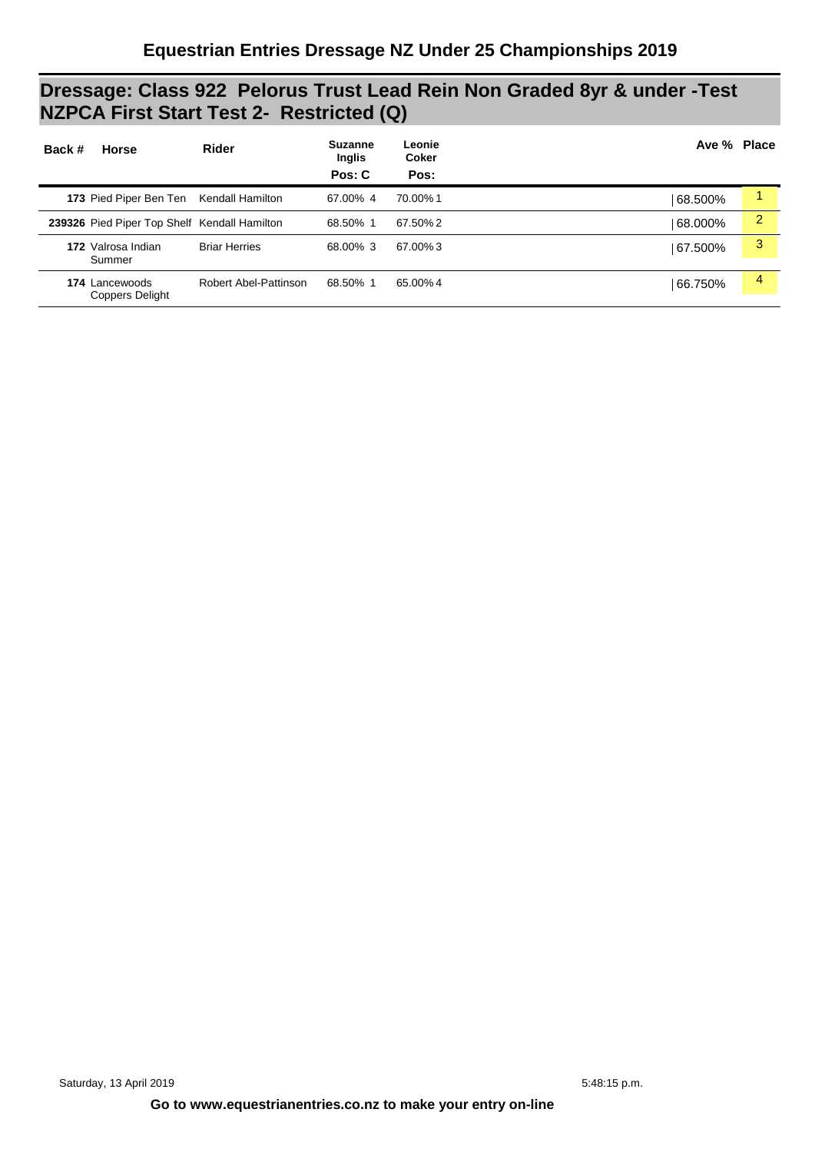### **Dressage: Class 922 Pelorus Trust Lead Rein Non Graded 8yr & under -Test NZPCA First Start Test 2- Restricted (Q)**

| Back # | <b>Horse</b>                                 | Rider                 | <b>Suzanne</b><br>Inglis<br>Pos: C | Leonie<br>Coker<br>Pos: | Ave % Place |                |
|--------|----------------------------------------------|-----------------------|------------------------------------|-------------------------|-------------|----------------|
|        | 173 Pied Piper Ben Ten Kendall Hamilton      |                       | 67.00% 4                           | 70.00%1                 | 68.500%     |                |
|        | 239326 Pied Piper Top Shelf Kendall Hamilton |                       | 68.50% 1                           | 67.50% 2                | 68.000%     | $\overline{2}$ |
|        | 172 Valrosa Indian<br>Summer                 | <b>Briar Herries</b>  | 68.00% 3                           | 67.00%3                 | 67.500%     | 3              |
|        | 174 Lancewoods<br>Coppers Delight            | Robert Abel-Pattinson | 68.50% 1                           | 65.00% 4                | 66.750%     | 4              |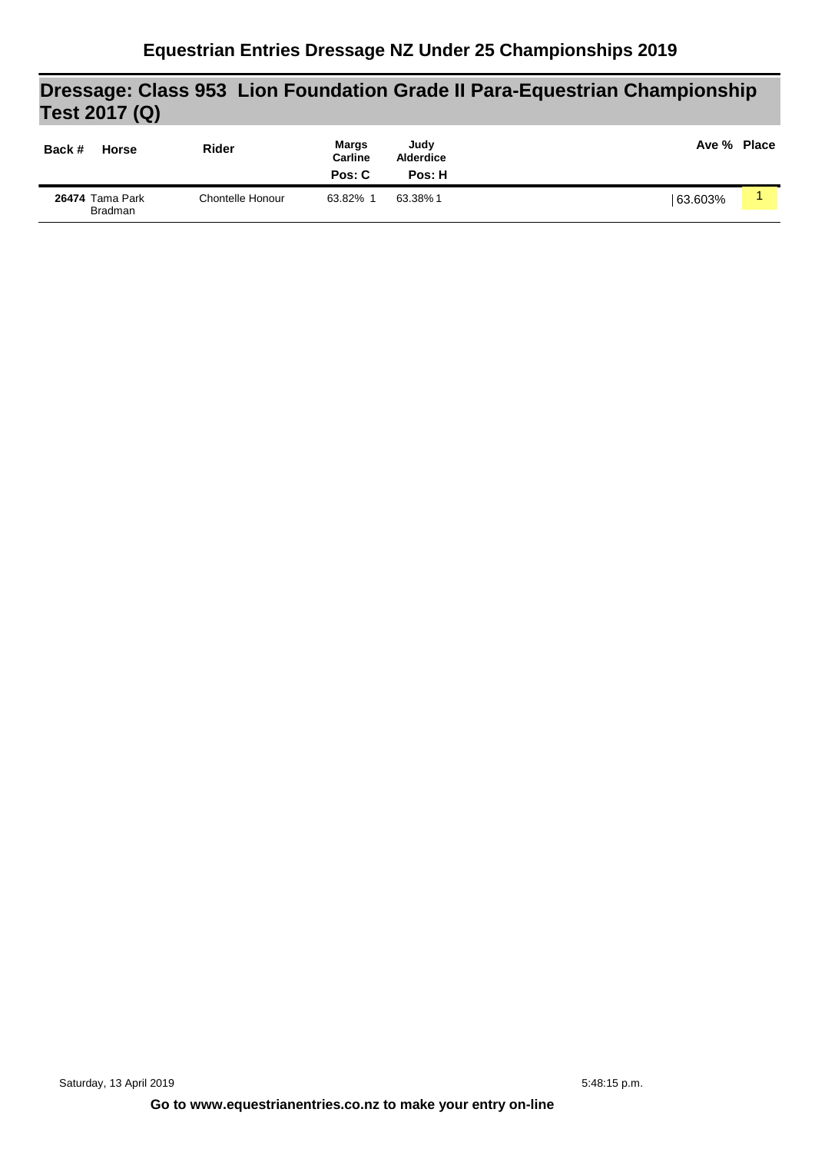## **Dressage: Class 953 Lion Foundation Grade II Para-Equestrian Championship Test 2017 (Q)**

| Back # | <b>Horse</b>                      | <b>Rider</b>     | <b>Margs</b><br><b>Carline</b><br>Pos: C | Judy<br><b>Alderdice</b><br>Pos: H | Ave % Place |  |
|--------|-----------------------------------|------------------|------------------------------------------|------------------------------------|-------------|--|
|        | 26474 Tama Park<br><b>Bradman</b> | Chontelle Honour | 63.82%                                   | 63.38%1                            | 63.603%     |  |